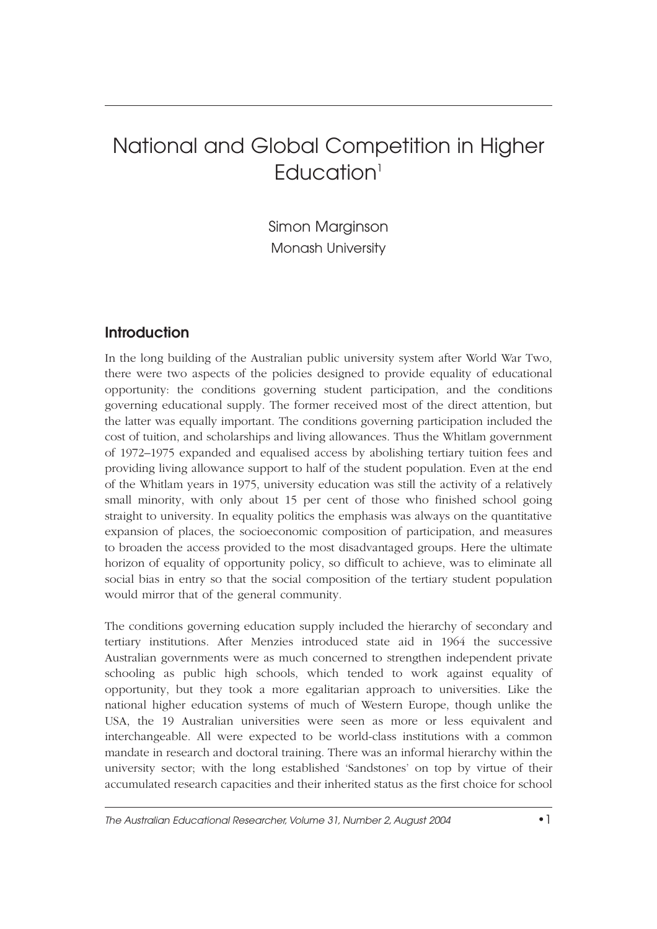# National and Global Competition in Higher Education<sup>1</sup>

Simon Marginson Monash University

# **Introduction**

In the long building of the Australian public university system after World War Two, there were two aspects of the policies designed to provide equality of educational opportunity: the conditions governing student participation, and the conditions governing educational supply. The former received most of the direct attention, but the latter was equally important. The conditions governing participation included the cost of tuition, and scholarships and living allowances. Thus the Whitlam government of 1972–1975 expanded and equalised access by abolishing tertiary tuition fees and providing living allowance support to half of the student population. Even at the end of the Whitlam years in 1975, university education was still the activity of a relatively small minority, with only about 15 per cent of those who finished school going straight to university. In equality politics the emphasis was always on the quantitative expansion of places, the socioeconomic composition of participation, and measures to broaden the access provided to the most disadvantaged groups. Here the ultimate horizon of equality of opportunity policy, so difficult to achieve, was to eliminate all social bias in entry so that the social composition of the tertiary student population would mirror that of the general community.

The conditions governing education supply included the hierarchy of secondary and tertiary institutions. After Menzies introduced state aid in 1964 the successive Australian governments were as much concerned to strengthen independent private schooling as public high schools, which tended to work against equality of opportunity, but they took a more egalitarian approach to universities. Like the national higher education systems of much of Western Europe, though unlike the USA, the 19 Australian universities were seen as more or less equivalent and interchangeable. All were expected to be world-class institutions with a common mandate in research and doctoral training. There was an informal hierarchy within the university sector; with the long established 'Sandstones' on top by virtue of their accumulated research capacities and their inherited status as the first choice for school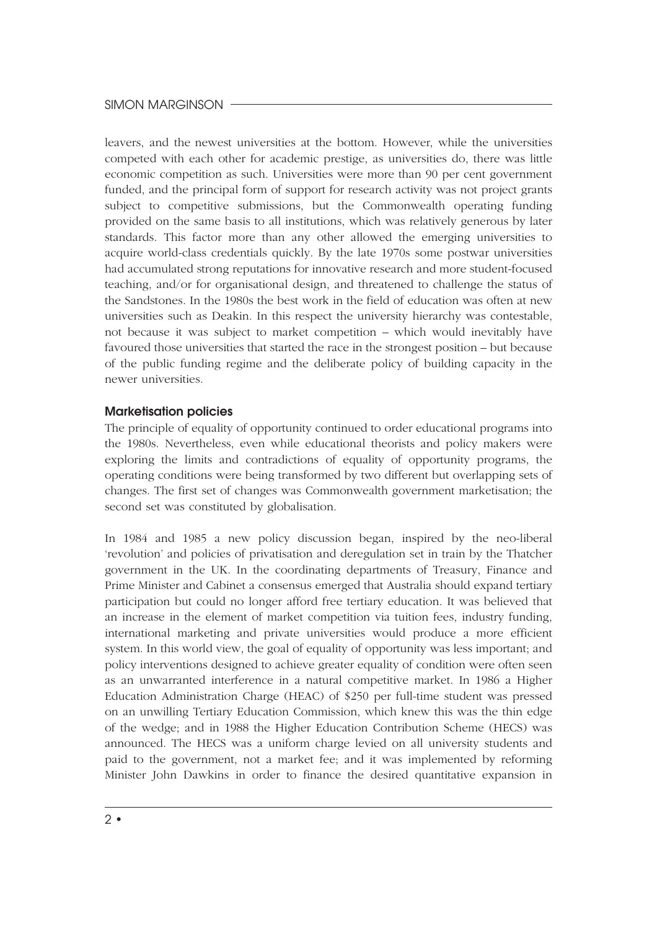leavers, and the newest universities at the bottom. However, while the universities competed with each other for academic prestige, as universities do, there was little economic competition as such. Universities were more than 90 per cent government funded, and the principal form of support for research activity was not project grants subject to competitive submissions, but the Commonwealth operating funding provided on the same basis to all institutions, which was relatively generous by later standards. This factor more than any other allowed the emerging universities to acquire world-class credentials quickly. By the late 1970s some postwar universities had accumulated strong reputations for innovative research and more student-focused teaching, and/or for organisational design, and threatened to challenge the status of the Sandstones. In the 1980s the best work in the field of education was often at new universities such as Deakin. In this respect the university hierarchy was contestable, not because it was subject to market competition – which would inevitably have favoured those universities that started the race in the strongest position – but because of the public funding regime and the deliberate policy of building capacity in the newer universities.

## **Marketisation policies**

The principle of equality of opportunity continued to order educational programs into the 1980s. Nevertheless, even while educational theorists and policy makers were exploring the limits and contradictions of equality of opportunity programs, the operating conditions were being transformed by two different but overlapping sets of changes. The first set of changes was Commonwealth government marketisation; the second set was constituted by globalisation.

In 1984 and 1985 a new policy discussion began, inspired by the neo-liberal 'revolution' and policies of privatisation and deregulation set in train by the Thatcher government in the UK. In the coordinating departments of Treasury, Finance and Prime Minister and Cabinet a consensus emerged that Australia should expand tertiary participation but could no longer afford free tertiary education. It was believed that an increase in the element of market competition via tuition fees, industry funding, international marketing and private universities would produce a more efficient system. In this world view, the goal of equality of opportunity was less important; and policy interventions designed to achieve greater equality of condition were often seen as an unwarranted interference in a natural competitive market. In 1986 a Higher Education Administration Charge (HEAC) of \$250 per full-time student was pressed on an unwilling Tertiary Education Commission, which knew this was the thin edge of the wedge; and in 1988 the Higher Education Contribution Scheme (HECS) was announced. The HECS was a uniform charge levied on all university students and paid to the government, not a market fee; and it was implemented by reforming Minister John Dawkins in order to finance the desired quantitative expansion in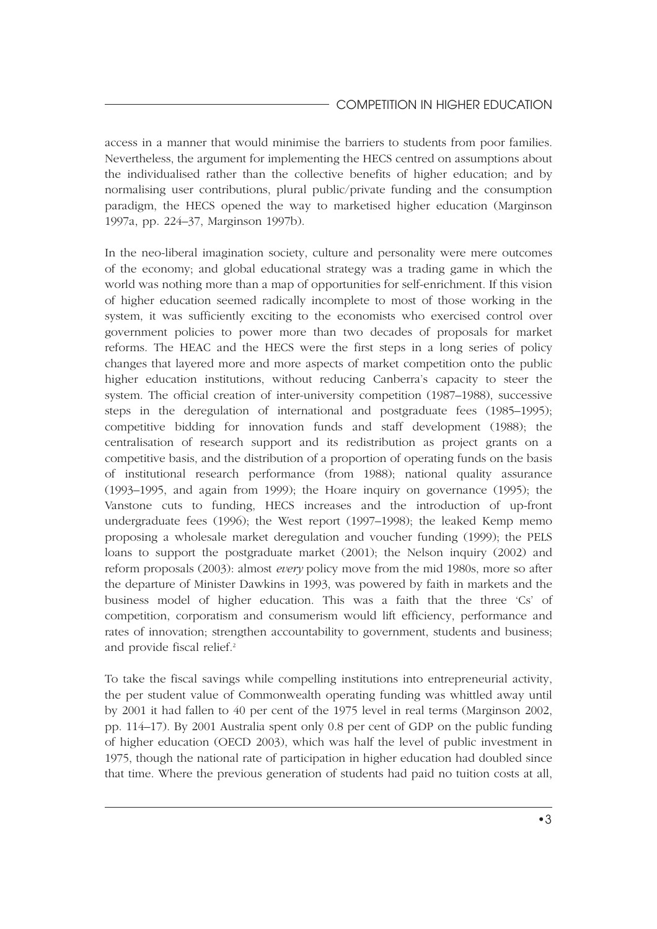access in a manner that would minimise the barriers to students from poor families. Nevertheless, the argument for implementing the HECS centred on assumptions about the individualised rather than the collective benefits of higher education; and by normalising user contributions, plural public/private funding and the consumption paradigm, the HECS opened the way to marketised higher education (Marginson 1997a, pp. 224–37, Marginson 1997b).

In the neo-liberal imagination society, culture and personality were mere outcomes of the economy; and global educational strategy was a trading game in which the world was nothing more than a map of opportunities for self-enrichment. If this vision of higher education seemed radically incomplete to most of those working in the system, it was sufficiently exciting to the economists who exercised control over government policies to power more than two decades of proposals for market reforms. The HEAC and the HECS were the first steps in a long series of policy changes that layered more and more aspects of market competition onto the public higher education institutions, without reducing Canberra's capacity to steer the system. The official creation of inter-university competition (1987–1988), successive steps in the deregulation of international and postgraduate fees (1985–1995); competitive bidding for innovation funds and staff development (1988); the centralisation of research support and its redistribution as project grants on a competitive basis, and the distribution of a proportion of operating funds on the basis of institutional research performance (from 1988); national quality assurance (1993–1995, and again from 1999); the Hoare inquiry on governance (1995); the Vanstone cuts to funding, HECS increases and the introduction of up-front undergraduate fees (1996); the West report (1997–1998); the leaked Kemp memo proposing a wholesale market deregulation and voucher funding (1999); the PELS loans to support the postgraduate market (2001); the Nelson inquiry (2002) and reform proposals (2003): almost *every* policy move from the mid 1980s, more so after the departure of Minister Dawkins in 1993, was powered by faith in markets and the business model of higher education. This was a faith that the three 'Cs' of competition, corporatism and consumerism would lift efficiency, performance and rates of innovation; strengthen accountability to government, students and business; and provide fiscal relief.<sup>2</sup>

To take the fiscal savings while compelling institutions into entrepreneurial activity, the per student value of Commonwealth operating funding was whittled away until by 2001 it had fallen to 40 per cent of the 1975 level in real terms (Marginson 2002, pp. 114–17). By 2001 Australia spent only 0.8 per cent of GDP on the public funding of higher education (OECD 2003), which was half the level of public investment in 1975, though the national rate of participation in higher education had doubled since that time. Where the previous generation of students had paid no tuition costs at all,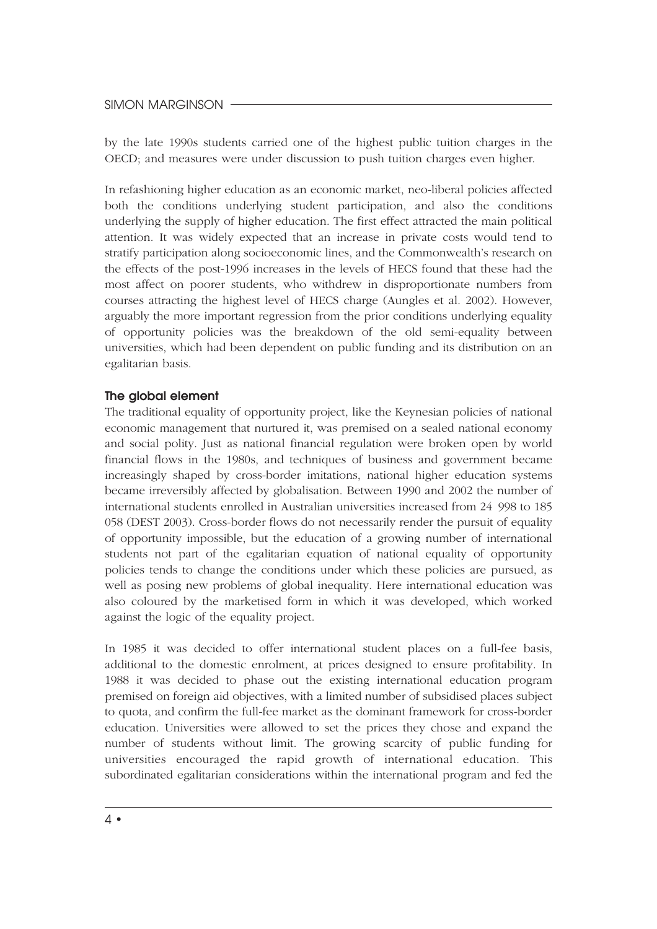by the late 1990s students carried one of the highest public tuition charges in the OECD; and measures were under discussion to push tuition charges even higher.

In refashioning higher education as an economic market, neo-liberal policies affected both the conditions underlying student participation, and also the conditions underlying the supply of higher education. The first effect attracted the main political attention. It was widely expected that an increase in private costs would tend to stratify participation along socioeconomic lines, and the Commonwealth's research on the effects of the post-1996 increases in the levels of HECS found that these had the most affect on poorer students, who withdrew in disproportionate numbers from courses attracting the highest level of HECS charge (Aungles et al. 2002). However, arguably the more important regression from the prior conditions underlying equality of opportunity policies was the breakdown of the old semi-equality between universities, which had been dependent on public funding and its distribution on an egalitarian basis.

# **The global element**

The traditional equality of opportunity project, like the Keynesian policies of national economic management that nurtured it, was premised on a sealed national economy and social polity. Just as national financial regulation were broken open by world financial flows in the 1980s, and techniques of business and government became increasingly shaped by cross-border imitations, national higher education systems became irreversibly affected by globalisation. Between 1990 and 2002 the number of international students enrolled in Australian universities increased from 24 998 to 185 058 (DEST 2003). Cross-border flows do not necessarily render the pursuit of equality of opportunity impossible, but the education of a growing number of international students not part of the egalitarian equation of national equality of opportunity policies tends to change the conditions under which these policies are pursued, as well as posing new problems of global inequality. Here international education was also coloured by the marketised form in which it was developed, which worked against the logic of the equality project.

In 1985 it was decided to offer international student places on a full-fee basis, additional to the domestic enrolment, at prices designed to ensure profitability. In 1988 it was decided to phase out the existing international education program premised on foreign aid objectives, with a limited number of subsidised places subject to quota, and confirm the full-fee market as the dominant framework for cross-border education. Universities were allowed to set the prices they chose and expand the number of students without limit. The growing scarcity of public funding for universities encouraged the rapid growth of international education. This subordinated egalitarian considerations within the international program and fed the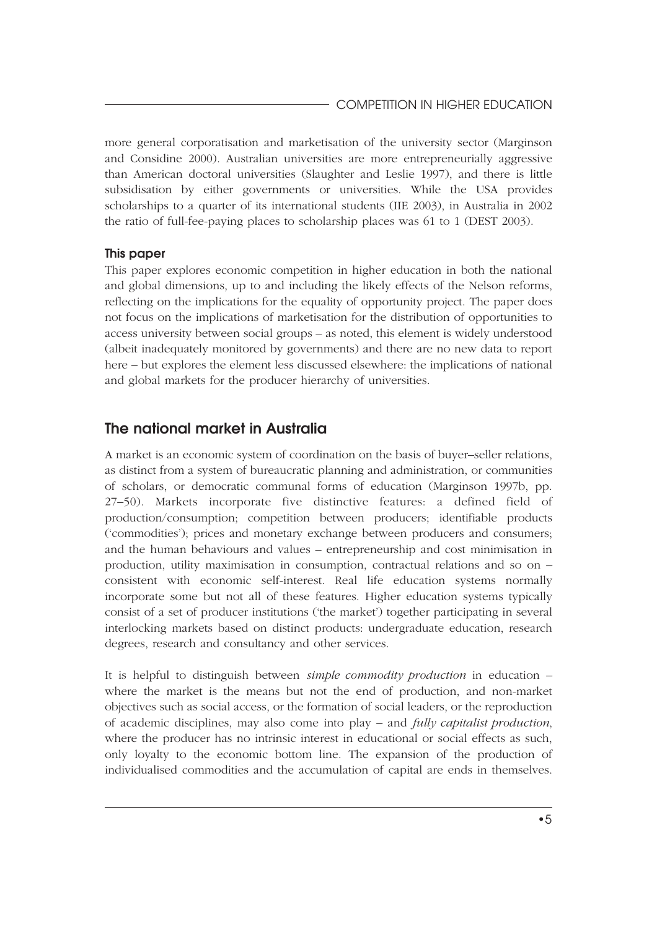more general corporatisation and marketisation of the university sector (Marginson and Considine 2000). Australian universities are more entrepreneurially aggressive than American doctoral universities (Slaughter and Leslie 1997), and there is little subsidisation by either governments or universities. While the USA provides scholarships to a quarter of its international students (IIE 2003), in Australia in 2002 the ratio of full-fee-paying places to scholarship places was 61 to 1 (DEST 2003).

# **This paper**

This paper explores economic competition in higher education in both the national and global dimensions, up to and including the likely effects of the Nelson reforms, reflecting on the implications for the equality of opportunity project. The paper does not focus on the implications of marketisation for the distribution of opportunities to access university between social groups – as noted, this element is widely understood (albeit inadequately monitored by governments) and there are no new data to report here – but explores the element less discussed elsewhere: the implications of national and global markets for the producer hierarchy of universities.

# **The national market in Australia**

A market is an economic system of coordination on the basis of buyer–seller relations, as distinct from a system of bureaucratic planning and administration, or communities of scholars, or democratic communal forms of education (Marginson 1997b, pp. 27–50). Markets incorporate five distinctive features: a defined field of production/consumption; competition between producers; identifiable products ('commodities'); prices and monetary exchange between producers and consumers; and the human behaviours and values – entrepreneurship and cost minimisation in production, utility maximisation in consumption, contractual relations and so on – consistent with economic self-interest. Real life education systems normally incorporate some but not all of these features. Higher education systems typically consist of a set of producer institutions ('the market') together participating in several interlocking markets based on distinct products: undergraduate education, research degrees, research and consultancy and other services.

It is helpful to distinguish between *simple commodity production* in education – where the market is the means but not the end of production, and non-market objectives such as social access, or the formation of social leaders, or the reproduction of academic disciplines, may also come into play – and *fully capitalist production*, where the producer has no intrinsic interest in educational or social effects as such, only loyalty to the economic bottom line. The expansion of the production of individualised commodities and the accumulation of capital are ends in themselves.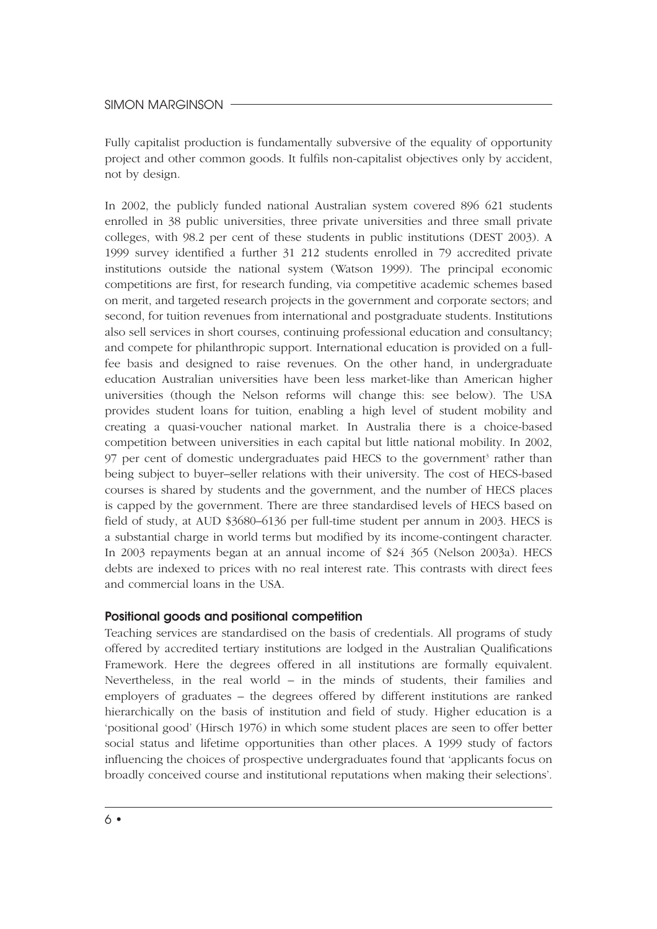Fully capitalist production is fundamentally subversive of the equality of opportunity project and other common goods. It fulfils non-capitalist objectives only by accident, not by design.

In 2002, the publicly funded national Australian system covered 896 621 students enrolled in 38 public universities, three private universities and three small private colleges, with 98.2 per cent of these students in public institutions (DEST 2003). A 1999 survey identified a further 31 212 students enrolled in 79 accredited private institutions outside the national system (Watson 1999). The principal economic competitions are first, for research funding, via competitive academic schemes based on merit, and targeted research projects in the government and corporate sectors; and second, for tuition revenues from international and postgraduate students. Institutions also sell services in short courses, continuing professional education and consultancy; and compete for philanthropic support. International education is provided on a fullfee basis and designed to raise revenues. On the other hand, in undergraduate education Australian universities have been less market-like than American higher universities (though the Nelson reforms will change this: see below). The USA provides student loans for tuition, enabling a high level of student mobility and creating a quasi-voucher national market. In Australia there is a choice-based competition between universities in each capital but little national mobility. In 2002, 97 per cent of domestic undergraduates paid HECS to the government<sup>3</sup> rather than being subject to buyer–seller relations with their university. The cost of HECS-based courses is shared by students and the government, and the number of HECS places is capped by the government. There are three standardised levels of HECS based on field of study, at AUD \$3680–6136 per full-time student per annum in 2003. HECS is a substantial charge in world terms but modified by its income-contingent character. In 2003 repayments began at an annual income of \$24 365 (Nelson 2003a). HECS debts are indexed to prices with no real interest rate. This contrasts with direct fees and commercial loans in the USA.

#### **Positional goods and positional competition**

Teaching services are standardised on the basis of credentials. All programs of study offered by accredited tertiary institutions are lodged in the Australian Qualifications Framework. Here the degrees offered in all institutions are formally equivalent. Nevertheless, in the real world – in the minds of students, their families and employers of graduates – the degrees offered by different institutions are ranked hierarchically on the basis of institution and field of study. Higher education is a 'positional good' (Hirsch 1976) in which some student places are seen to offer better social status and lifetime opportunities than other places. A 1999 study of factors influencing the choices of prospective undergraduates found that 'applicants focus on broadly conceived course and institutional reputations when making their selections'.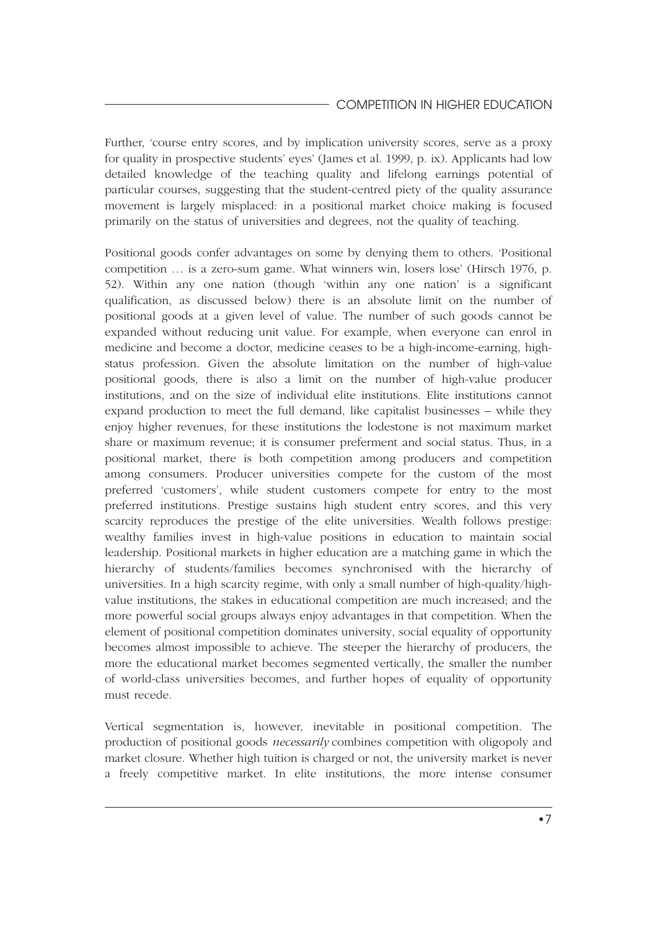Further, 'course entry scores, and by implication university scores, serve as a proxy for quality in prospective students' eyes' (James et al. 1999, p. ix). Applicants had low detailed knowledge of the teaching quality and lifelong earnings potential of particular courses, suggesting that the student-centred piety of the quality assurance movement is largely misplaced: in a positional market choice making is focused primarily on the status of universities and degrees, not the quality of teaching.

Positional goods confer advantages on some by denying them to others. 'Positional competition … is a zero-sum game. What winners win, losers lose' (Hirsch 1976, p. 52). Within any one nation (though 'within any one nation' is a significant qualification, as discussed below) there is an absolute limit on the number of positional goods at a given level of value. The number of such goods cannot be expanded without reducing unit value. For example, when everyone can enrol in medicine and become a doctor, medicine ceases to be a high-income-earning, highstatus profession. Given the absolute limitation on the number of high-value positional goods, there is also a limit on the number of high-value producer institutions, and on the size of individual elite institutions. Elite institutions cannot expand production to meet the full demand, like capitalist businesses – while they enjoy higher revenues, for these institutions the lodestone is not maximum market share or maximum revenue; it is consumer preferment and social status. Thus, in a positional market, there is both competition among producers and competition among consumers. Producer universities compete for the custom of the most preferred 'customers', while student customers compete for entry to the most preferred institutions. Prestige sustains high student entry scores, and this very scarcity reproduces the prestige of the elite universities. Wealth follows prestige: wealthy families invest in high-value positions in education to maintain social leadership. Positional markets in higher education are a matching game in which the hierarchy of students/families becomes synchronised with the hierarchy of universities. In a high scarcity regime, with only a small number of high-quality/highvalue institutions, the stakes in educational competition are much increased; and the more powerful social groups always enjoy advantages in that competition. When the element of positional competition dominates university, social equality of opportunity becomes almost impossible to achieve. The steeper the hierarchy of producers, the more the educational market becomes segmented vertically, the smaller the number of world-class universities becomes, and further hopes of equality of opportunity must recede.

Vertical segmentation is, however, inevitable in positional competition. The production of positional goods *necessarily* combines competition with oligopoly and market closure. Whether high tuition is charged or not, the university market is never a freely competitive market. In elite institutions, the more intense consumer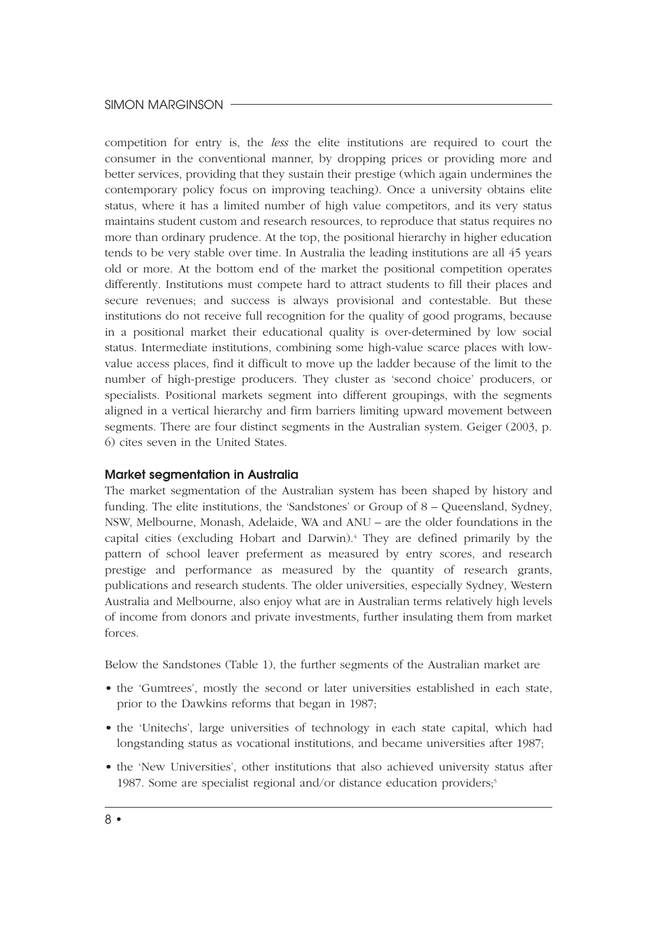competition for entry is, the *less* the elite institutions are required to court the consumer in the conventional manner, by dropping prices or providing more and better services, providing that they sustain their prestige (which again undermines the contemporary policy focus on improving teaching). Once a university obtains elite status, where it has a limited number of high value competitors, and its very status maintains student custom and research resources, to reproduce that status requires no more than ordinary prudence. At the top, the positional hierarchy in higher education tends to be very stable over time. In Australia the leading institutions are all 45 years old or more. At the bottom end of the market the positional competition operates differently. Institutions must compete hard to attract students to fill their places and secure revenues; and success is always provisional and contestable. But these institutions do not receive full recognition for the quality of good programs, because in a positional market their educational quality is over-determined by low social status. Intermediate institutions, combining some high-value scarce places with lowvalue access places, find it difficult to move up the ladder because of the limit to the number of high-prestige producers. They cluster as 'second choice' producers, or specialists. Positional markets segment into different groupings, with the segments aligned in a vertical hierarchy and firm barriers limiting upward movement between segments. There are four distinct segments in the Australian system. Geiger (2003, p. 6) cites seven in the United States.

# **Market segmentation in Australia**

The market segmentation of the Australian system has been shaped by history and funding. The elite institutions, the 'Sandstones' or Group of 8 – Queensland, Sydney, NSW, Melbourne, Monash, Adelaide, WA and ANU – are the older foundations in the capital cities (excluding Hobart and Darwin).4 They are defined primarily by the pattern of school leaver preferment as measured by entry scores, and research prestige and performance as measured by the quantity of research grants, publications and research students. The older universities, especially Sydney, Western Australia and Melbourne, also enjoy what are in Australian terms relatively high levels of income from donors and private investments, further insulating them from market forces.

Below the Sandstones (Table 1), the further segments of the Australian market are

- the 'Gumtrees', mostly the second or later universities established in each state, prior to the Dawkins reforms that began in 1987;
- the 'Unitechs', large universities of technology in each state capital, which had longstanding status as vocational institutions, and became universities after 1987;
- the 'New Universities', other institutions that also achieved university status after 1987. Some are specialist regional and/or distance education providers;5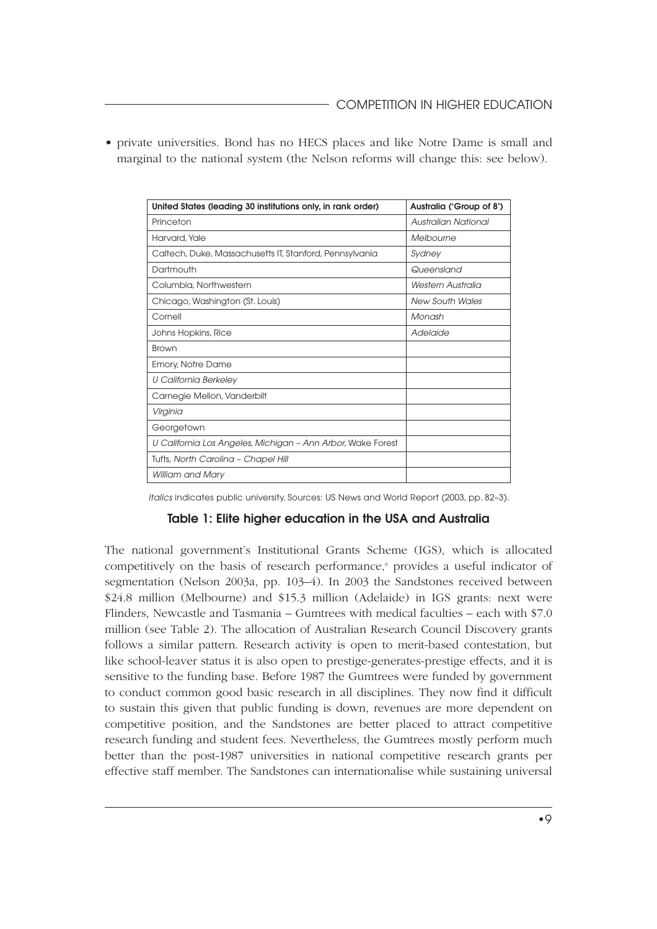• private universities. Bond has no HECS places and like Notre Dame is small and marginal to the national system (the Nelson reforms will change this: see below).

| United States (leading 30 institutions only, in rank order) | Australia ('Group of 8') |
|-------------------------------------------------------------|--------------------------|
| Princeton                                                   | Australian National      |
| Harvard, Yale                                               | Melbourne                |
| Caltech, Duke, Massachusetts IT, Stanford, Pennsylvania     | Sydney                   |
| Dartmouth                                                   | Queensland               |
| Columbia, Northwestern                                      | Western Australia        |
| Chicago, Washington (St. Louis)                             | New South Wales          |
| Cornell                                                     | Monash                   |
| Johns Hopkins, Rice                                         | Adelaide                 |
| Brown                                                       |                          |
| Emory, Notre Dame                                           |                          |
| <b>U California Berkeley</b>                                |                          |
| Carnegie Mellon, Vanderbilt                                 |                          |
| Virginia                                                    |                          |
| Georgetown                                                  |                          |
| U California Los Angeles, Michigan - Ann Arbor, Wake Forest |                          |
| Tufts, North Carolina - Chapel Hill                         |                          |
| William and Mary                                            |                          |

Italics indicates public university. Sources: US News and World Report (2003, pp. 82–3).

# **Table 1: Elite higher education in the USA and Australia**

The national government's Institutional Grants Scheme (IGS), which is allocated competitively on the basis of research performance,<sup>6</sup> provides a useful indicator of segmentation (Nelson 2003a, pp. 103–4). In 2003 the Sandstones received between \$24.8 million (Melbourne) and \$15.3 million (Adelaide) in IGS grants: next were Flinders, Newcastle and Tasmania – Gumtrees with medical faculties – each with \$7.0 million (see Table 2). The allocation of Australian Research Council Discovery grants follows a similar pattern. Research activity is open to merit-based contestation, but like school-leaver status it is also open to prestige-generates-prestige effects, and it is sensitive to the funding base. Before 1987 the Gumtrees were funded by government to conduct common good basic research in all disciplines. They now find it difficult to sustain this given that public funding is down, revenues are more dependent on competitive position, and the Sandstones are better placed to attract competitive research funding and student fees. Nevertheless, the Gumtrees mostly perform much better than the post-1987 universities in national competitive research grants per effective staff member. The Sandstones can internationalise while sustaining universal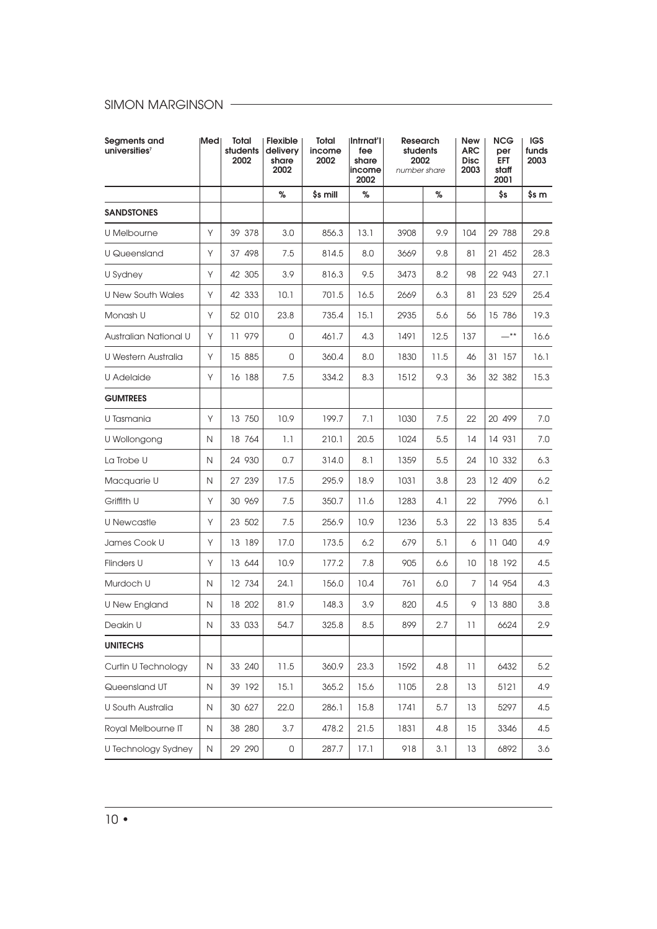| Segments and<br>universities $7$ | Medl | Total<br>students<br>2002 | <b>Flexible</b><br>delivery<br>share<br>2002 | Total<br>income<br>2002 | Intrnat'l<br>fee<br>share<br>income<br>2002 | Research<br>students<br>2002<br>number share |      | <b>New</b><br><b>ARC</b><br>Disc<br>2003 | <b>NCG</b><br>per<br><b>EFT</b><br>staff<br>2001 | <b>IGS</b><br>funds<br>2003 |
|----------------------------------|------|---------------------------|----------------------------------------------|-------------------------|---------------------------------------------|----------------------------------------------|------|------------------------------------------|--------------------------------------------------|-----------------------------|
|                                  |      |                           | %                                            | \$s mill                | $\%$                                        |                                              | %    |                                          | \$s                                              | \$s m                       |
| <b>SANDSTONES</b>                |      |                           |                                              |                         |                                             |                                              |      |                                          |                                                  |                             |
| U Melbourne                      | Υ    | 39 378                    | 3.0                                          | 856.3                   | 13.1                                        | 3908                                         | 9.9  | 104                                      | 29 788                                           | 29.8                        |
| U Queensland                     | Υ    | 37 498                    | 7.5                                          | 814.5                   | 8.0                                         | 3669                                         | 9.8  | 81                                       | 21 452                                           | 28.3                        |
| U Sydney                         | Υ    | 42 305                    | 3.9                                          | 816.3                   | 9.5                                         | 3473                                         | 8.2  | 98                                       | 22 943                                           | 27.1                        |
| U New South Wales                | Υ    | 42 333                    | 10.1                                         | 701.5                   | 16.5                                        | 2669                                         | 6.3  | 81                                       | 23 529                                           | 25.4                        |
| Monash U                         | Υ    | 52 010                    | 23.8                                         | 735.4                   | 15.1                                        | 2935                                         | 5.6  | 56                                       | 15 786                                           | 19.3                        |
| Australian National U            | Υ    | 11 979                    | 0                                            | 461.7                   | 4.3                                         | 1491                                         | 12.5 | 137                                      | $-***$                                           | 16.6                        |
| U Western Australia              | Υ    | 15 885                    | 0                                            | 360.4                   | 8.0                                         | 1830                                         | 11.5 | 46                                       | 31 157                                           | 16.1                        |
| U Adelaide                       | Υ    | 16 188                    | 7.5                                          | 334.2                   | 8.3                                         | 1512                                         | 9.3  | 36                                       | 32 382                                           | 15.3                        |
| <b>GUMTREES</b>                  |      |                           |                                              |                         |                                             |                                              |      |                                          |                                                  |                             |
| U Tasmania                       | Υ    | 13 750                    | 10.9                                         | 199.7                   | 7.1                                         | 1030                                         | 7.5  | 22                                       | 20 499                                           | 7.0                         |
| U Wollongong                     | Ν    | 18 764                    | 1.1                                          | 210.1                   | 20.5                                        | 1024                                         | 5.5  | 14                                       | 14 931                                           | 7.0                         |
| La Trobe U                       | N    | 24 930                    | 0.7                                          | 314.0                   | 8.1                                         | 1359                                         | 5.5  | 24                                       | 10 332                                           | 6.3                         |
| Macquarie U                      | N    | 27 239                    | 17.5                                         | 295.9                   | 18.9                                        | 1031                                         | 3.8  | 23                                       | 12 409                                           | 6.2                         |
| Griffith U                       | Υ    | 30 969                    | 7.5                                          | 350.7                   | 11.6                                        | 1283                                         | 4.1  | 22                                       | 7996                                             | 6.1                         |
| U Newcastle                      | Υ    | 23 502                    | 7.5                                          | 256.9                   | 10.9                                        | 1236                                         | 5.3  | 22                                       | 13 835                                           | 5.4                         |
| James Cook U                     | Υ    | 13 189                    | 17.0                                         | 173.5                   | 6.2                                         | 679                                          | 5.1  | 6                                        | 11 040                                           | 4.9                         |
| Flinders U                       | Υ    | 13 644                    | 10.9                                         | 177.2                   | 7.8                                         | 905                                          | 6.6  | 10                                       | 18 192                                           | 4.5                         |
| Murdoch U                        | N    | 12 734                    | 24.1                                         | 156.0                   | 10.4                                        | 761                                          | 6.0  | 7                                        | 14 954                                           | 4.3                         |
| U New England                    | N    | 18 202                    | 81.9                                         | 148.3                   | 3.9                                         | 820                                          | 4.5  | 9                                        | 13 880                                           | 3.8                         |
| Deakin U                         | N.   | 33 033                    | 54.7                                         | 325.8                   | 8.5                                         | 899                                          | 2.7  | 11                                       | 6624                                             | 2.9                         |
| <b>UNITECHS</b>                  |      |                           |                                              |                         |                                             |                                              |      |                                          |                                                  |                             |
| Curtin U Technology              | N    | 33 240                    | 11.5                                         | 360.9                   | 23.3                                        | 1592                                         | 4.8  | 11                                       | 6432                                             | 5.2                         |
| Queensland UT                    | Ν    | 39 192                    | 15.1                                         | 365.2                   | 15.6                                        | 1105                                         | 2.8  | 13                                       | 5121                                             | 4.9                         |
| U South Australia                | Ν    | 30 627                    | 22.0                                         | 286.1                   | 15.8                                        | 1741                                         | 5.7  | 13                                       | 5297                                             | 4.5                         |
| Royal Melbourne IT               | Ν    | 38 280                    | 3.7                                          | 478.2                   | 21.5                                        | 1831                                         | 4.8  | 15                                       | 3346                                             | 4.5                         |
| U Technology Sydney              | Ν    | 29 290                    | 0                                            | 287.7                   | 17.1                                        | 918                                          | 3.1  | 13                                       | 6892                                             | 3.6                         |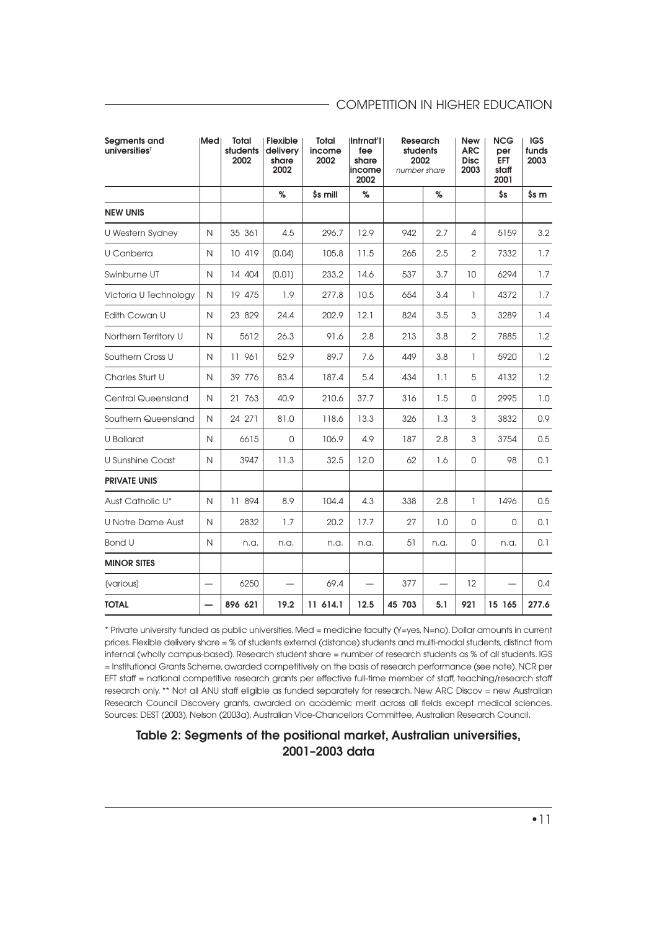# COMPETITION IN HIGHER EDUCATION

| Segments and<br>universities $7$ | Medl         | Total<br>students<br>2002 | Flexible<br>delivery<br>share<br>2002 | Total<br>income<br>2002 | Intrnat'l I<br>fee<br>share<br>income<br>2002 | <b>Research</b><br>students<br>2002<br>number share |      | New<br><b>ARC</b><br><b>Disc</b><br>2003 | <b>NCG</b><br>per<br><b>EFT</b><br>staff<br>2001 | IGS<br>funds<br>2003 |
|----------------------------------|--------------|---------------------------|---------------------------------------|-------------------------|-----------------------------------------------|-----------------------------------------------------|------|------------------------------------------|--------------------------------------------------|----------------------|
|                                  |              |                           | %                                     | \$s mill                | %                                             |                                                     | %    |                                          | \$s                                              | \$s m                |
| <b>NEW UNIS</b>                  |              |                           |                                       |                         |                                               |                                                     |      |                                          |                                                  |                      |
| U Western Sydney                 | N            | 35 361                    | 4.5                                   | 296.7                   | 12.9                                          | 942                                                 | 2.7  | 4                                        | 5159                                             | 3.2                  |
| U Canberra                       | N            | 10 419                    | (0.04)                                | 105.8                   | 11.5                                          | 265                                                 | 2.5  | $\overline{2}$                           | 7332                                             | 1.7                  |
| Swinburne UT                     | N            | 14 404                    | (0.01)                                | 233.2                   | 14.6                                          | 537                                                 | 3.7  | 10 <sup>10</sup>                         | 6294                                             | 1.7                  |
| Victoria U Technology            | N            | 19 475                    | 1.9                                   | 277.8                   | 10.5                                          | 654                                                 | 3.4  | 1                                        | 4372                                             | 1.7                  |
| Edith Cowan U                    | N            | 23 829                    | 24.4                                  | 202.9                   | 12.1                                          | 824                                                 | 3.5  | 3                                        | 3289                                             | 1.4                  |
| Northern Territory U             | N            | 5612                      | 26.3                                  | 91.6                    | 2.8                                           | 213                                                 | 3.8  | $\overline{2}$                           | 7885                                             | 1.2                  |
| Southern Cross U                 | N            | 11 961                    | 52.9                                  | 89.7                    | 7.6                                           | 449                                                 | 3.8  | $\mathbf{1}$                             | 5920                                             | 1.2                  |
| Charles Sturt U                  | $\mathsf{N}$ | 39 776                    | 83.4                                  | 187.4                   | 5.4                                           | 434                                                 | 1.1  | 5                                        | 4132                                             | 1.2                  |
| <b>Central Queensland</b>        | N            | 21 763                    | 40.9                                  | 210.6                   | 37.7                                          | 316                                                 | 1.5  | 0                                        | 2995                                             | 1.0                  |
| Southern Queensland              | N            | 24 271                    | 81.0                                  | 118.6                   | 13.3                                          | 326                                                 | 1.3  | 3                                        | 3832                                             | 0.9                  |
| <b>U</b> Ballarat                | N            | 6615                      | 0                                     | 106.9                   | 4.9                                           | 187                                                 | 2.8  | 3                                        | 3754                                             | 0.5                  |
| U Sunshine Coast                 | N            | 3947                      | 11.3                                  | 32.5                    | 12.0                                          | 62                                                  | 1.6  | 0                                        | 98                                               | 0.1                  |
| <b>PRIVATE UNIS</b>              |              |                           |                                       |                         |                                               |                                                     |      |                                          |                                                  |                      |
| Aust Catholic U*                 | N            | 11 894                    | 8.9                                   | 104.4                   | 4.3                                           | 338                                                 | 2.8  | 1                                        | 1496                                             | 0.5                  |
| U Notre Dame Aust                | N            | 2832                      | 1.7                                   | 20.2                    | 17.7                                          | 27                                                  | 1.0  | $\Omega$                                 | 0                                                | 0.1                  |
| <b>Bond U</b>                    | N            | n.a.                      | n.a.                                  | n.a.                    | n.a.                                          | 51                                                  | n.a. | $\Omega$                                 | n.a.                                             | 0.1                  |
| <b>MINOR SITES</b>               |              |                           |                                       |                         |                                               |                                                     |      |                                          |                                                  |                      |
| (various)                        |              | 6250                      |                                       | 69.4                    |                                               | 377                                                 |      | 12                                       |                                                  | 0.4                  |
| <b>TOTAL</b>                     |              | 896 621                   | 19.2                                  | 11 614.1                | 12.5                                          | 45 703                                              | 5.1  | 921                                      | 15 165                                           | 277.6                |

\* Private university funded as public universities. Med = medicine faculty (Y=yes, N=no). Dollar amounts in current prices. Flexible delivery share = % of students external (distance) students and multi-modal students, distinct from internal (wholly campus-based). Research student share = number of research students as % of all students. IGS = Institutional Grants Scheme, awarded competitively on the basis of research performance (see note). NCR per EFT staff = national competitive research grants per effective full-time member of staff, teaching/research staff research only. \*\* Not all ANU staff eligible as funded separately for research. New ARC Discov = new Australian Research Council Discovery grants, awarded on academic merit across all fields except medical sciences. Sources: DEST (2003), Nelson (2003a), Australian Vice-Chancellors Committee, Australian Research Council.

# **Table 2: Segments of the positional market, Australian universities, 2001–2003 data**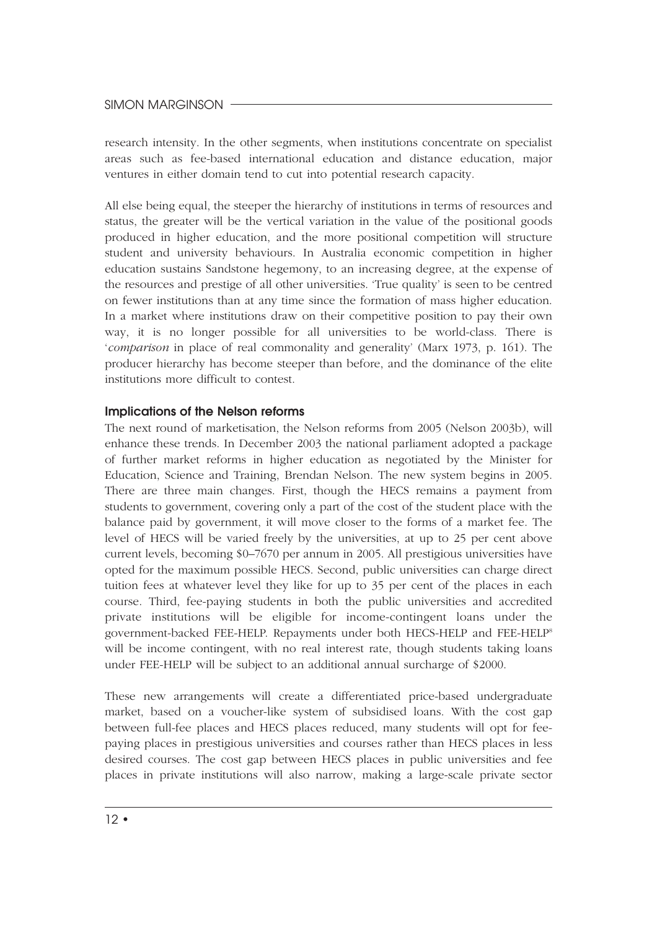research intensity. In the other segments, when institutions concentrate on specialist areas such as fee-based international education and distance education, major ventures in either domain tend to cut into potential research capacity.

All else being equal, the steeper the hierarchy of institutions in terms of resources and status, the greater will be the vertical variation in the value of the positional goods produced in higher education, and the more positional competition will structure student and university behaviours. In Australia economic competition in higher education sustains Sandstone hegemony, to an increasing degree, at the expense of the resources and prestige of all other universities. 'True quality' is seen to be centred on fewer institutions than at any time since the formation of mass higher education. In a market where institutions draw on their competitive position to pay their own way, it is no longer possible for all universities to be world-class. There is '*comparison* in place of real commonality and generality' (Marx 1973, p. 161). The producer hierarchy has become steeper than before, and the dominance of the elite institutions more difficult to contest.

#### **Implications of the Nelson reforms**

The next round of marketisation, the Nelson reforms from 2005 (Nelson 2003b), will enhance these trends. In December 2003 the national parliament adopted a package of further market reforms in higher education as negotiated by the Minister for Education, Science and Training, Brendan Nelson. The new system begins in 2005. There are three main changes. First, though the HECS remains a payment from students to government, covering only a part of the cost of the student place with the balance paid by government, it will move closer to the forms of a market fee. The level of HECS will be varied freely by the universities, at up to 25 per cent above current levels, becoming \$0–7670 per annum in 2005. All prestigious universities have opted for the maximum possible HECS. Second, public universities can charge direct tuition fees at whatever level they like for up to 35 per cent of the places in each course. Third, fee-paying students in both the public universities and accredited private institutions will be eligible for income-contingent loans under the government-backed FEE-HELP. Repayments under both HECS-HELP and FEE-HELP8 will be income contingent, with no real interest rate, though students taking loans under FEE-HELP will be subject to an additional annual surcharge of \$2000.

These new arrangements will create a differentiated price-based undergraduate market, based on a voucher-like system of subsidised loans. With the cost gap between full-fee places and HECS places reduced, many students will opt for feepaying places in prestigious universities and courses rather than HECS places in less desired courses. The cost gap between HECS places in public universities and fee places in private institutions will also narrow, making a large-scale private sector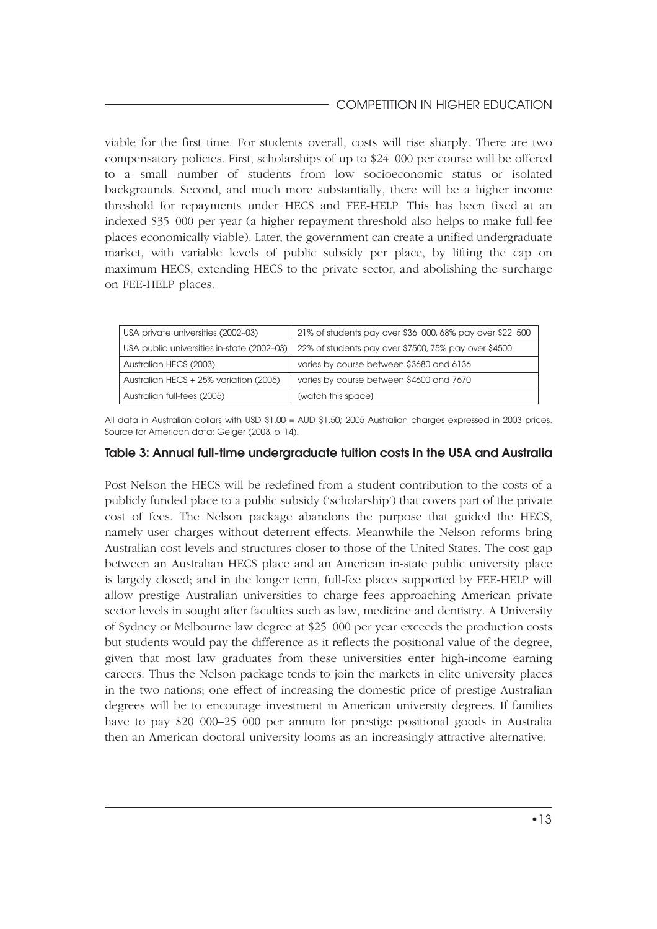viable for the first time. For students overall, costs will rise sharply. There are two compensatory policies. First, scholarships of up to \$24 000 per course will be offered to a small number of students from low socioeconomic status or isolated backgrounds. Second, and much more substantially, there will be a higher income threshold for repayments under HECS and FEE-HELP. This has been fixed at an indexed \$35 000 per year (a higher repayment threshold also helps to make full-fee places economically viable). Later, the government can create a unified undergraduate market, with variable levels of public subsidy per place, by lifting the cap on maximum HECS, extending HECS to the private sector, and abolishing the surcharge on FEE-HELP places.

| USA private universities (2002-03)         | 21% of students pay over \$36 000, 68% pay over \$22 500 |
|--------------------------------------------|----------------------------------------------------------|
| USA public universities in-state (2002-03) | 22% of students pay over \$7500, 75% pay over \$4500     |
| Australian HECS (2003)                     | varies by course between \$3680 and 6136                 |
| Australian HECS + 25% variation (2005)     | varies by course between \$4600 and 7670                 |
| Australian full-fees (2005)                | (watch this space)                                       |

All data in Australian dollars with USD \$1.00 = AUD \$1.50; 2005 Australian charges expressed in 2003 prices. Source for American data: Geiger (2003, p. 14).

## **Table 3: Annual full-time undergraduate tuition costs in the USA and Australia**

Post-Nelson the HECS will be redefined from a student contribution to the costs of a publicly funded place to a public subsidy ('scholarship') that covers part of the private cost of fees. The Nelson package abandons the purpose that guided the HECS, namely user charges without deterrent effects. Meanwhile the Nelson reforms bring Australian cost levels and structures closer to those of the United States. The cost gap between an Australian HECS place and an American in-state public university place is largely closed; and in the longer term, full-fee places supported by FEE-HELP will allow prestige Australian universities to charge fees approaching American private sector levels in sought after faculties such as law, medicine and dentistry. A University of Sydney or Melbourne law degree at \$25 000 per year exceeds the production costs but students would pay the difference as it reflects the positional value of the degree, given that most law graduates from these universities enter high-income earning careers. Thus the Nelson package tends to join the markets in elite university places in the two nations; one effect of increasing the domestic price of prestige Australian degrees will be to encourage investment in American university degrees. If families have to pay \$20 000–25 000 per annum for prestige positional goods in Australia then an American doctoral university looms as an increasingly attractive alternative.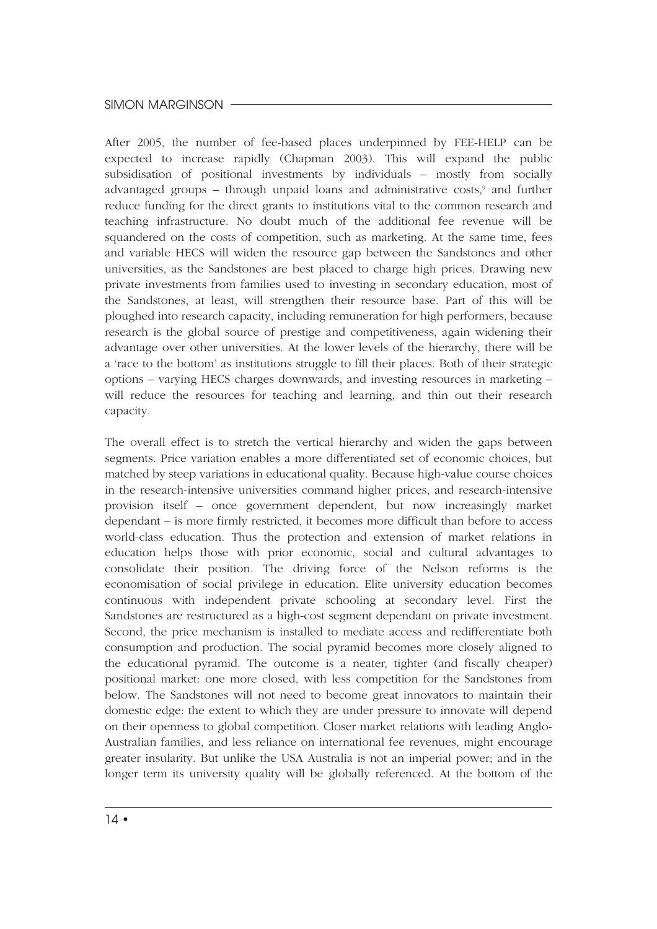After 2005, the number of fee-based places underpinned by FEE-HELP can be expected to increase rapidly (Chapman 2003). This will expand the public subsidisation of positional investments by individuals – mostly from socially advantaged groups – through unpaid loans and administrative costs, $\degree$  and further reduce funding for the direct grants to institutions vital to the common research and teaching infrastructure. No doubt much of the additional fee revenue will be squandered on the costs of competition, such as marketing. At the same time, fees and variable HECS will widen the resource gap between the Sandstones and other universities, as the Sandstones are best placed to charge high prices. Drawing new private investments from families used to investing in secondary education, most of the Sandstones, at least, will strengthen their resource base. Part of this will be ploughed into research capacity, including remuneration for high performers, because research is the global source of prestige and competitiveness, again widening their advantage over other universities. At the lower levels of the hierarchy, there will be a 'race to the bottom' as institutions struggle to fill their places. Both of their strategic options – varying HECS charges downwards, and investing resources in marketing – will reduce the resources for teaching and learning, and thin out their research capacity.

The overall effect is to stretch the vertical hierarchy and widen the gaps between segments. Price variation enables a more differentiated set of economic choices, but matched by steep variations in educational quality. Because high-value course choices in the research-intensive universities command higher prices, and research-intensive provision itself – once government dependent, but now increasingly market dependant – is more firmly restricted, it becomes more difficult than before to access world-class education. Thus the protection and extension of market relations in education helps those with prior economic, social and cultural advantages to consolidate their position. The driving force of the Nelson reforms is the economisation of social privilege in education. Elite university education becomes continuous with independent private schooling at secondary level. First the Sandstones are restructured as a high-cost segment dependant on private investment. Second, the price mechanism is installed to mediate access and redifferentiate both consumption and production. The social pyramid becomes more closely aligned to the educational pyramid. The outcome is a neater, tighter (and fiscally cheaper) positional market: one more closed, with less competition for the Sandstones from below. The Sandstones will not need to become great innovators to maintain their domestic edge: the extent to which they are under pressure to innovate will depend on their openness to global competition. Closer market relations with leading Anglo-Australian families, and less reliance on international fee revenues, might encourage greater insularity. But unlike the USA Australia is not an imperial power; and in the longer term its university quality will be globally referenced. At the bottom of the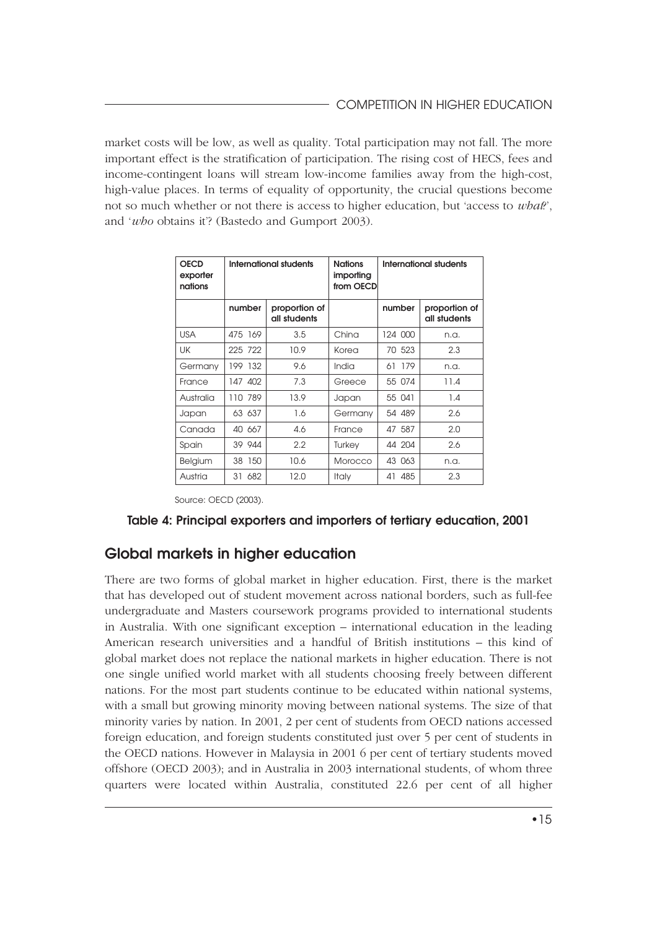market costs will be low, as well as quality. Total participation may not fall. The more important effect is the stratification of participation. The rising cost of HECS, fees and income-contingent loans will stream low-income families away from the high-cost, high-value places. In terms of equality of opportunity, the crucial questions become not so much whether or not there is access to higher education, but 'access to *what*?', and '*who* obtains it'? (Bastedo and Gumport 2003).

| <b>OECD</b><br>exporter<br>nations | International students |                               | <b>Nations</b><br>importing<br>from OECD |           | International students        |
|------------------------------------|------------------------|-------------------------------|------------------------------------------|-----------|-------------------------------|
|                                    | number                 | proportion of<br>all students |                                          | number    | proportion of<br>all students |
| <b>USA</b>                         | 475 169                | 3.5                           | China                                    | 124 000   | n.a.                          |
| UK                                 | 225 722                | 10.9                          | Korea                                    | 70 523    | 2.3                           |
| Germany                            | 199 132                | 9.6                           | India                                    | 61 179    | n.a.                          |
| France                             | 147 402                | 7.3                           | Greece                                   | 55 074    | 11.4                          |
| Australia                          | 110 789                | 13.9                          | Japan                                    | 55 041    | 1.4                           |
| Japan                              | 63 637                 | 1.6                           | Germany                                  | 54 489    | 2.6                           |
| Canada                             | 40 667                 | 4.6                           | France                                   | 47 587    | 2.0                           |
| Spain                              | 39 944                 | 2.2                           | Turkey                                   | 44 204    | 2.6                           |
| Belgium                            | 38 150                 | 10.6                          | Morocco                                  | 43 063    | n.a.                          |
| Austria                            | 682<br>31              | 12.0                          | <b>Italy</b>                             | 41<br>485 | 2.3                           |

Source: OECD (2003).

# **Table 4: Principal exporters and importers of tertiary education, 2001**

# **Global markets in higher education**

There are two forms of global market in higher education. First, there is the market that has developed out of student movement across national borders, such as full-fee undergraduate and Masters coursework programs provided to international students in Australia. With one significant exception – international education in the leading American research universities and a handful of British institutions – this kind of global market does not replace the national markets in higher education. There is not one single unified world market with all students choosing freely between different nations. For the most part students continue to be educated within national systems, with a small but growing minority moving between national systems. The size of that minority varies by nation. In 2001, 2 per cent of students from OECD nations accessed foreign education, and foreign students constituted just over 5 per cent of students in the OECD nations. However in Malaysia in 2001 6 per cent of tertiary students moved offshore (OECD 2003); and in Australia in 2003 international students, of whom three quarters were located within Australia, constituted 22.6 per cent of all higher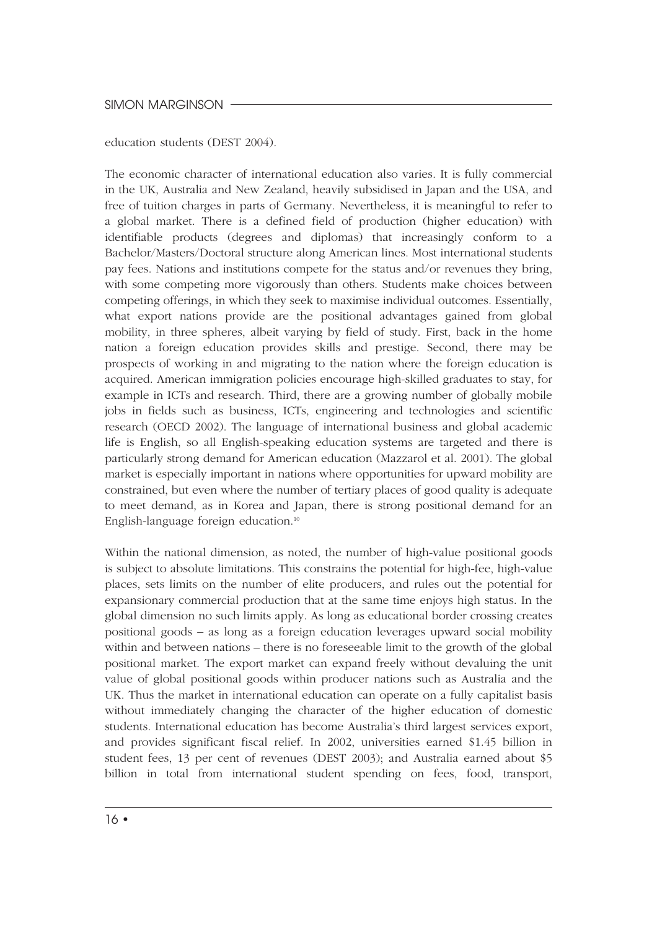education students (DEST 2004).

The economic character of international education also varies. It is fully commercial in the UK, Australia and New Zealand, heavily subsidised in Japan and the USA, and free of tuition charges in parts of Germany. Nevertheless, it is meaningful to refer to a global market. There is a defined field of production (higher education) with identifiable products (degrees and diplomas) that increasingly conform to a Bachelor/Masters/Doctoral structure along American lines. Most international students pay fees. Nations and institutions compete for the status and/or revenues they bring, with some competing more vigorously than others. Students make choices between competing offerings, in which they seek to maximise individual outcomes. Essentially, what export nations provide are the positional advantages gained from global mobility, in three spheres, albeit varying by field of study. First, back in the home nation a foreign education provides skills and prestige. Second, there may be prospects of working in and migrating to the nation where the foreign education is acquired. American immigration policies encourage high-skilled graduates to stay, for example in ICTs and research. Third, there are a growing number of globally mobile jobs in fields such as business, ICTs, engineering and technologies and scientific research (OECD 2002). The language of international business and global academic life is English, so all English-speaking education systems are targeted and there is particularly strong demand for American education (Mazzarol et al. 2001). The global market is especially important in nations where opportunities for upward mobility are constrained, but even where the number of tertiary places of good quality is adequate to meet demand, as in Korea and Japan, there is strong positional demand for an English-language foreign education.10

Within the national dimension, as noted, the number of high-value positional goods is subject to absolute limitations. This constrains the potential for high-fee, high-value places, sets limits on the number of elite producers, and rules out the potential for expansionary commercial production that at the same time enjoys high status. In the global dimension no such limits apply. As long as educational border crossing creates positional goods – as long as a foreign education leverages upward social mobility within and between nations – there is no foreseeable limit to the growth of the global positional market. The export market can expand freely without devaluing the unit value of global positional goods within producer nations such as Australia and the UK. Thus the market in international education can operate on a fully capitalist basis without immediately changing the character of the higher education of domestic students. International education has become Australia's third largest services export, and provides significant fiscal relief. In 2002, universities earned \$1.45 billion in student fees, 13 per cent of revenues (DEST 2003); and Australia earned about \$5 billion in total from international student spending on fees, food, transport,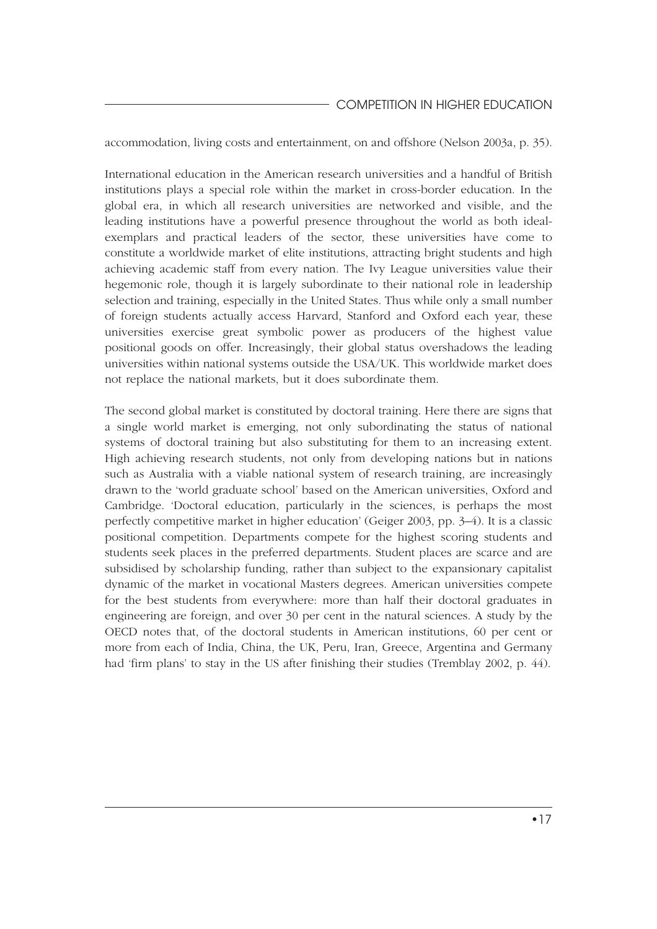accommodation, living costs and entertainment, on and offshore (Nelson 2003a, p. 35).

International education in the American research universities and a handful of British institutions plays a special role within the market in cross-border education. In the global era, in which all research universities are networked and visible, and the leading institutions have a powerful presence throughout the world as both idealexemplars and practical leaders of the sector, these universities have come to constitute a worldwide market of elite institutions, attracting bright students and high achieving academic staff from every nation. The Ivy League universities value their hegemonic role, though it is largely subordinate to their national role in leadership selection and training, especially in the United States. Thus while only a small number of foreign students actually access Harvard, Stanford and Oxford each year, these universities exercise great symbolic power as producers of the highest value positional goods on offer. Increasingly, their global status overshadows the leading universities within national systems outside the USA/UK. This worldwide market does not replace the national markets, but it does subordinate them.

The second global market is constituted by doctoral training. Here there are signs that a single world market is emerging, not only subordinating the status of national systems of doctoral training but also substituting for them to an increasing extent. High achieving research students, not only from developing nations but in nations such as Australia with a viable national system of research training, are increasingly drawn to the 'world graduate school' based on the American universities, Oxford and Cambridge. 'Doctoral education, particularly in the sciences, is perhaps the most perfectly competitive market in higher education' (Geiger 2003, pp. 3–4). It is a classic positional competition. Departments compete for the highest scoring students and students seek places in the preferred departments. Student places are scarce and are subsidised by scholarship funding, rather than subject to the expansionary capitalist dynamic of the market in vocational Masters degrees. American universities compete for the best students from everywhere: more than half their doctoral graduates in engineering are foreign, and over 30 per cent in the natural sciences. A study by the OECD notes that, of the doctoral students in American institutions, 60 per cent or more from each of India, China, the UK, Peru, Iran, Greece, Argentina and Germany had 'firm plans' to stay in the US after finishing their studies (Tremblay 2002, p. 44).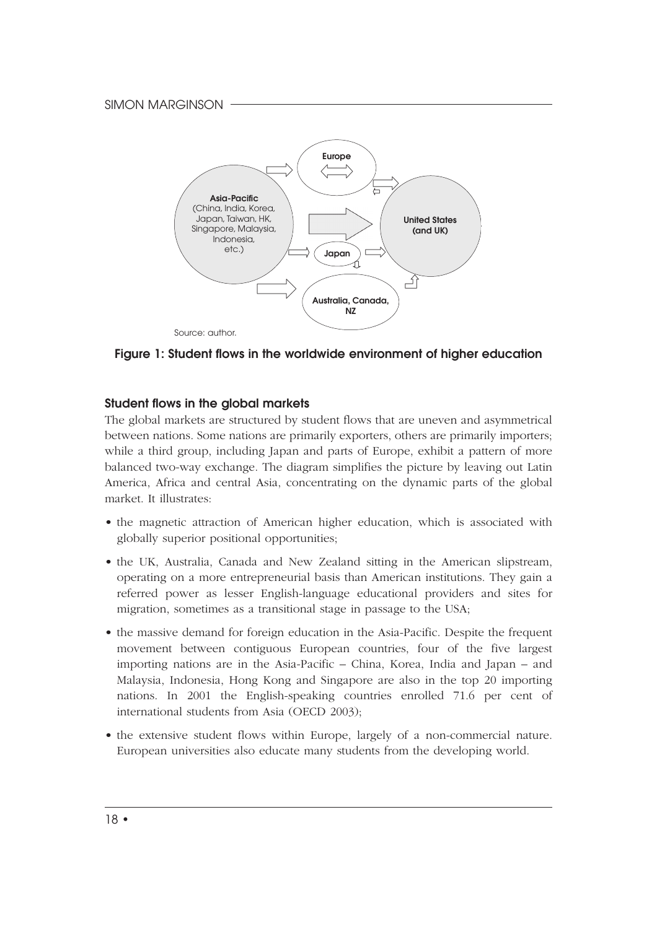

**Figure 1: Student flows in the worldwide environment of higher education**

# **Student flows in the global markets**

The global markets are structured by student flows that are uneven and asymmetrical between nations. Some nations are primarily exporters, others are primarily importers; while a third group, including Japan and parts of Europe, exhibit a pattern of more balanced two-way exchange. The diagram simplifies the picture by leaving out Latin America, Africa and central Asia, concentrating on the dynamic parts of the global market. It illustrates:

- the magnetic attraction of American higher education, which is associated with globally superior positional opportunities;
- the UK, Australia, Canada and New Zealand sitting in the American slipstream, operating on a more entrepreneurial basis than American institutions. They gain a referred power as lesser English-language educational providers and sites for migration, sometimes as a transitional stage in passage to the USA;
- the massive demand for foreign education in the Asia-Pacific. Despite the frequent movement between contiguous European countries, four of the five largest importing nations are in the Asia-Pacific – China, Korea, India and Japan – and Malaysia, Indonesia, Hong Kong and Singapore are also in the top 20 importing nations. In 2001 the English-speaking countries enrolled 71.6 per cent of international students from Asia (OECD 2003);
- the extensive student flows within Europe, largely of a non-commercial nature. European universities also educate many students from the developing world.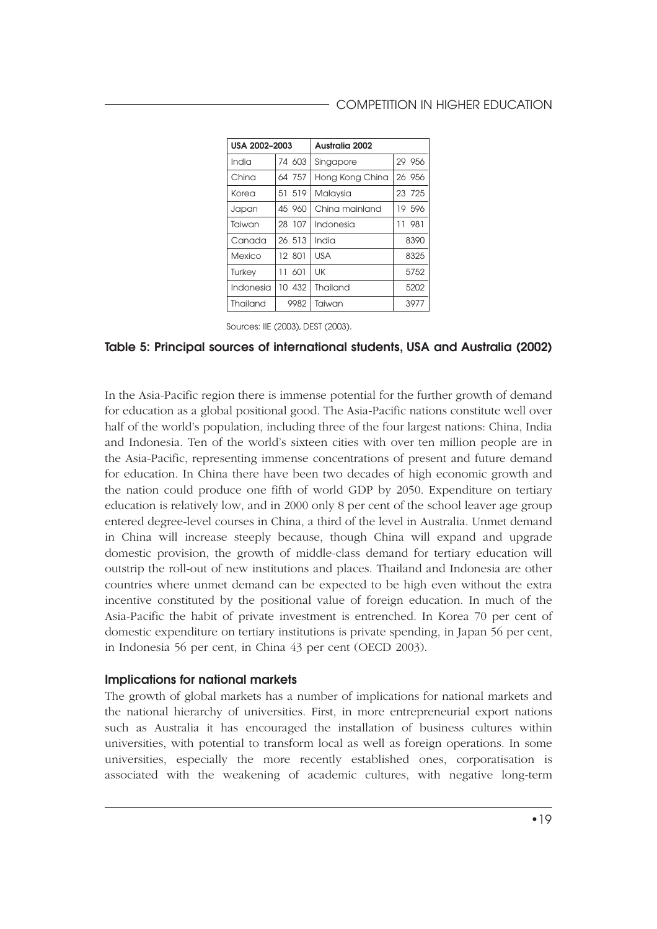# COMPETITION IN HIGHER EDUCATION

| USA 2002-2003 |        | Australia 2002  |           |
|---------------|--------|-----------------|-----------|
| India         | 74 603 | Singapore       | 29 956    |
| China         | 64 757 | Hong Kong China | 26 956    |
| Korea         | 51 519 | Malaysia        | 23 725    |
| Japan         | 45 960 | China mainland  | 19 596    |
| Taiwan        | 28 107 | Indonesia       | 981<br>11 |
| Canada        | 26 513 | India           | 8390      |
| Mexico        | 12 801 | <b>USA</b>      | 8325      |
| Turkey        | 11 601 | UK              | 5752      |
| Indonesia     | 10 432 | Thailand        | 5202      |
| Thailand      | 9982   | Taiwan          | 3977      |

Sources: IIE (2003), DEST (2003).

# **Table 5: Principal sources of international students, USA and Australia (2002)**

In the Asia-Pacific region there is immense potential for the further growth of demand for education as a global positional good. The Asia-Pacific nations constitute well over half of the world's population, including three of the four largest nations: China, India and Indonesia. Ten of the world's sixteen cities with over ten million people are in the Asia-Pacific, representing immense concentrations of present and future demand for education. In China there have been two decades of high economic growth and the nation could produce one fifth of world GDP by 2050. Expenditure on tertiary education is relatively low, and in 2000 only 8 per cent of the school leaver age group entered degree-level courses in China, a third of the level in Australia. Unmet demand in China will increase steeply because, though China will expand and upgrade domestic provision, the growth of middle-class demand for tertiary education will outstrip the roll-out of new institutions and places. Thailand and Indonesia are other countries where unmet demand can be expected to be high even without the extra incentive constituted by the positional value of foreign education. In much of the Asia-Pacific the habit of private investment is entrenched. In Korea 70 per cent of domestic expenditure on tertiary institutions is private spending, in Japan 56 per cent, in Indonesia 56 per cent, in China 43 per cent (OECD 2003).

#### **Implications for national markets**

The growth of global markets has a number of implications for national markets and the national hierarchy of universities. First, in more entrepreneurial export nations such as Australia it has encouraged the installation of business cultures within universities, with potential to transform local as well as foreign operations. In some universities, especially the more recently established ones, corporatisation is associated with the weakening of academic cultures, with negative long-term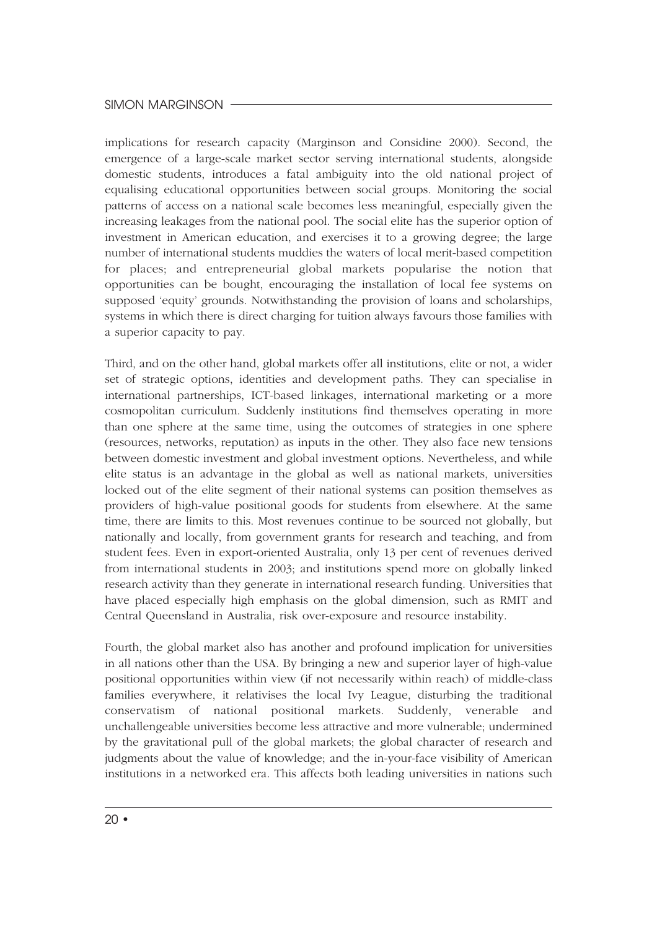implications for research capacity (Marginson and Considine 2000). Second, the emergence of a large-scale market sector serving international students, alongside domestic students, introduces a fatal ambiguity into the old national project of equalising educational opportunities between social groups. Monitoring the social patterns of access on a national scale becomes less meaningful, especially given the increasing leakages from the national pool. The social elite has the superior option of investment in American education, and exercises it to a growing degree; the large number of international students muddies the waters of local merit-based competition for places; and entrepreneurial global markets popularise the notion that opportunities can be bought, encouraging the installation of local fee systems on supposed 'equity' grounds. Notwithstanding the provision of loans and scholarships, systems in which there is direct charging for tuition always favours those families with a superior capacity to pay.

Third, and on the other hand, global markets offer all institutions, elite or not, a wider set of strategic options, identities and development paths. They can specialise in international partnerships, ICT-based linkages, international marketing or a more cosmopolitan curriculum. Suddenly institutions find themselves operating in more than one sphere at the same time, using the outcomes of strategies in one sphere (resources, networks, reputation) as inputs in the other. They also face new tensions between domestic investment and global investment options. Nevertheless, and while elite status is an advantage in the global as well as national markets, universities locked out of the elite segment of their national systems can position themselves as providers of high-value positional goods for students from elsewhere. At the same time, there are limits to this. Most revenues continue to be sourced not globally, but nationally and locally, from government grants for research and teaching, and from student fees. Even in export-oriented Australia, only 13 per cent of revenues derived from international students in 2003; and institutions spend more on globally linked research activity than they generate in international research funding. Universities that have placed especially high emphasis on the global dimension, such as RMIT and Central Queensland in Australia, risk over-exposure and resource instability.

Fourth, the global market also has another and profound implication for universities in all nations other than the USA. By bringing a new and superior layer of high-value positional opportunities within view (if not necessarily within reach) of middle-class families everywhere, it relativises the local Ivy League, disturbing the traditional conservatism of national positional markets. Suddenly, venerable and unchallengeable universities become less attractive and more vulnerable; undermined by the gravitational pull of the global markets; the global character of research and judgments about the value of knowledge; and the in-your-face visibility of American institutions in a networked era. This affects both leading universities in nations such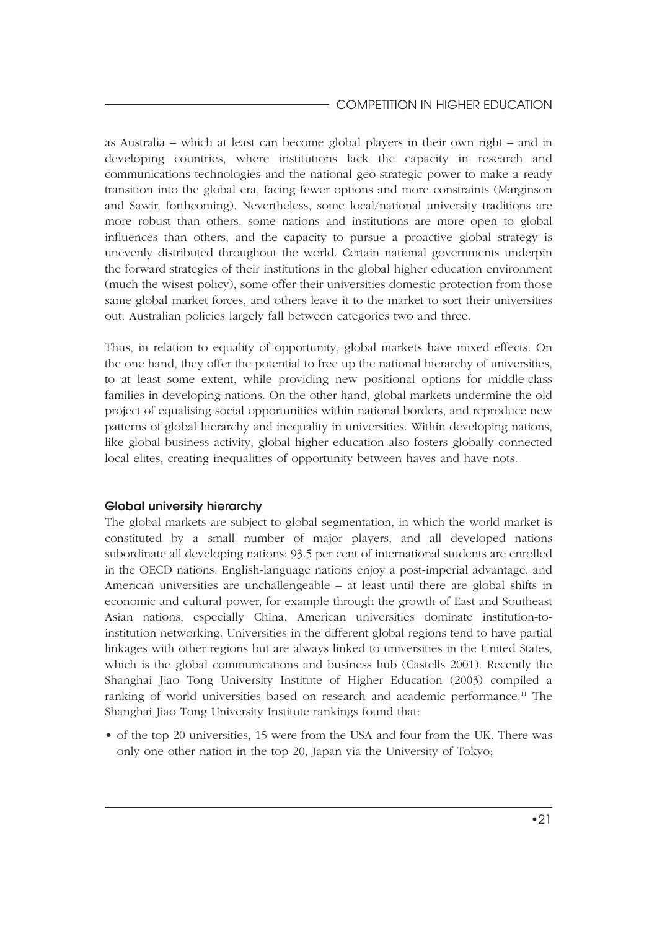as Australia – which at least can become global players in their own right – and in developing countries, where institutions lack the capacity in research and communications technologies and the national geo-strategic power to make a ready transition into the global era, facing fewer options and more constraints (Marginson and Sawir, forthcoming). Nevertheless, some local/national university traditions are more robust than others, some nations and institutions are more open to global influences than others, and the capacity to pursue a proactive global strategy is unevenly distributed throughout the world. Certain national governments underpin the forward strategies of their institutions in the global higher education environment (much the wisest policy), some offer their universities domestic protection from those same global market forces, and others leave it to the market to sort their universities out. Australian policies largely fall between categories two and three.

Thus, in relation to equality of opportunity, global markets have mixed effects. On the one hand, they offer the potential to free up the national hierarchy of universities, to at least some extent, while providing new positional options for middle-class families in developing nations. On the other hand, global markets undermine the old project of equalising social opportunities within national borders, and reproduce new patterns of global hierarchy and inequality in universities. Within developing nations, like global business activity, global higher education also fosters globally connected local elites, creating inequalities of opportunity between haves and have nots.

# **Global university hierarchy**

The global markets are subject to global segmentation, in which the world market is constituted by a small number of major players, and all developed nations subordinate all developing nations: 93.5 per cent of international students are enrolled in the OECD nations. English-language nations enjoy a post-imperial advantage, and American universities are unchallengeable – at least until there are global shifts in economic and cultural power, for example through the growth of East and Southeast Asian nations, especially China. American universities dominate institution-toinstitution networking. Universities in the different global regions tend to have partial linkages with other regions but are always linked to universities in the United States, which is the global communications and business hub (Castells 2001). Recently the Shanghai Jiao Tong University Institute of Higher Education (2003) compiled a ranking of world universities based on research and academic performance.11 The Shanghai Jiao Tong University Institute rankings found that:

• of the top 20 universities, 15 were from the USA and four from the UK. There was only one other nation in the top 20, Japan via the University of Tokyo;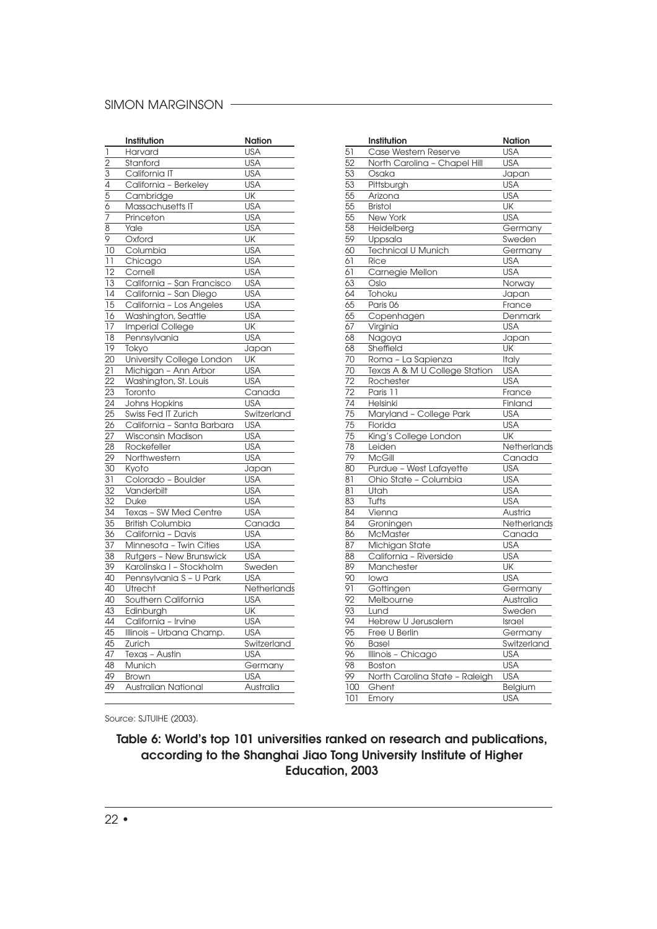|                 | Institution                | <b>Nation</b> |     | Institution                    | Nation     |
|-----------------|----------------------------|---------------|-----|--------------------------------|------------|
| $\mathbf{I}$    | Harvard                    | <b>USA</b>    | 51  | Case Western Reserve           | <b>USA</b> |
|                 | Stanford                   | <b>USA</b>    | 52  | North Carolina - Chapel Hill   | <b>USA</b> |
| $\frac{2}{3}$   | California IT              | <b>USA</b>    | 53  | Osaka                          | Japan      |
| 4               | California - Berkeley      | <b>USA</b>    | 53  | Pittsburgh                     | <b>USA</b> |
| 5               | Cambridge                  | UK            | 55  | Arizona                        | <b>USA</b> |
| $\overline{6}$  | Massachusetts IT           | <b>USA</b>    | 55  | <b>Bristol</b>                 | <b>UK</b>  |
| $\overline{7}$  | Princeton                  | <b>USA</b>    | 55  | New York                       | <b>USA</b> |
| 8               | Yale                       | <b>USA</b>    | 58  | Heidelberg                     | German     |
| $\overline{9}$  | Oxford                     | <b>UK</b>     | 59  | Uppsala                        | Sweden     |
| 10              | Columbia                   | <b>USA</b>    | 60  | <b>Technical U Munich</b>      | German     |
| $\overline{11}$ | Chicago                    | <b>USA</b>    | 61  | <b>Rice</b>                    | <b>USA</b> |
| 12              | Cornell                    | <b>USA</b>    | 61  | Carnegie Mellon                | <b>USA</b> |
| 13              | California - San Francisco | <b>USA</b>    | 63  | Oslo                           | Norway     |
| 14              | California - San Diego     | <b>USA</b>    | 64  | Tohoku                         | Japan      |
| 15              | California - Los Angeles   | <b>USA</b>    | 65  | Paris 06                       | France     |
| 16              | Washington, Seattle        | <b>USA</b>    | 65  | Copenhagen                     | Denmarl    |
| 17              | <b>Imperial College</b>    | <b>UK</b>     | 67  | Virginia                       | <b>USA</b> |
| 18              | Pennsylvania               | <b>USA</b>    | 68  | Nagoya                         | Japan      |
| 19              | Tokyo                      | Japan         | 68  | Sheffield                      | <b>UK</b>  |
| 20              | University College London  | <b>UK</b>     | 70  | Roma - La Sapienza             | Italy      |
| $\overline{21}$ | Michigan - Ann Arbor       | <b>USA</b>    | 70  | Texas A & M U College Station  | <b>USA</b> |
| 22              | Washington, St. Louis      | <b>USA</b>    | 72  | Rochester                      | <b>USA</b> |
| $\overline{23}$ | Toronto                    | Canada        | 72  | Paris 11                       | France     |
| 24              | Johns Hopkins              | <b>USA</b>    | 74  | Helsinki                       | Finland    |
| $\overline{25}$ | Swiss Fed IT Zurich        | Switzerland   | 75  | Maryland - College Park        | <b>USA</b> |
| 26              | California - Santa Barbara | <b>USA</b>    | 75  | Florida                        | <b>USA</b> |
| $\overline{27}$ | <b>Wisconsin Madison</b>   | <b>USA</b>    | 75  | King's College London          | <b>UK</b>  |
| 28              | Rockefeller                | <b>USA</b>    | 78  | Leiden                         | Netherla   |
| 29              | Northwestern               | <b>USA</b>    | 79  | <b>McGill</b>                  | Canada     |
| 30              | Kyoto                      | Japan         | 80  | Purdue - West Lafayette        | <b>USA</b> |
| 31              | Colorado - Boulder         | <b>USA</b>    | 81  | Ohio State - Columbia          | <b>USA</b> |
| 32              | Vanderbilt                 | <b>USA</b>    | 81  | Utah                           | <b>USA</b> |
| 32              | Duke                       | <b>USA</b>    | 83  | Tufts                          | <b>USA</b> |
| 34              | Texas - SW Med Centre      | <b>USA</b>    | 84  | Vienna                         | Austria    |
| 35              | <b>British Columbia</b>    | Canada        | 84  | Groningen                      | Netherla   |
| 36              | California - Davis         | <b>USA</b>    | 86  | McMaster                       | Canada     |
| 37              | Minnesota - Twin Cities    | <b>USA</b>    | 87  | Michigan State                 | <b>USA</b> |
| 38              | Rutgers - New Brunswick    | <b>USA</b>    | 88  | California - Riverside         | <b>USA</b> |
| 39              | Karolinska I - Stockholm   | Sweden        | 89  | Manchester                     | UK         |
| 40              | Pennsylvania S - U Park    | <b>USA</b>    | 90  | lowa                           | <b>USA</b> |
| 40              | Utrecht                    | Netherlands   | 91  | Gottingen                      | German     |
| 40              | Southern California        | <b>USA</b>    | 92  | Melbourne                      | Australia  |
| 43              | Edinburgh                  | UK            | 93  | Lund                           | Sweden     |
| 44              | California - Irvine        | <b>USA</b>    | 94  | Hebrew U Jerusalem             | Israel     |
| 45              | Illinois - Urbana Champ.   | <b>USA</b>    | 95  | Free U Berlin                  | German     |
| 45              | Zurich                     | Switzerland   | 96  | <b>Basel</b>                   | Switzerla  |
| 47              | Texas - Austin             | <b>USA</b>    | 96  | Illinois - Chicago             | <b>USA</b> |
| 48              | Munich                     | Germany       | 98  | <b>Boston</b>                  | <b>USA</b> |
| 49              | Brown                      | <b>USA</b>    | 99  | North Carolina State - Raleigh | <b>USA</b> |
| 49              | Australian National        | Australia     | 100 | Ghent                          | Belgium    |
|                 |                            |               |     |                                |            |

|    | Institution                | Nation      |     | Institution                    | Nation      |
|----|----------------------------|-------------|-----|--------------------------------|-------------|
| 1  | Harvard                    | <b>USA</b>  | 51  | Case Western Reserve           | <b>USA</b>  |
| 2  | Stanford                   | <b>USA</b>  | 52  | North Carolina - Chapel Hill   | <b>USA</b>  |
| 3  | California IT              | <b>USA</b>  | 53  | Osaka                          | Japan       |
| 4  | California - Berkeley      | <b>USA</b>  | 53  | Pittsburgh                     | <b>USA</b>  |
| 5  | Cambridge                  | <b>UK</b>   | 55  | Arizona                        | <b>USA</b>  |
| 6  | Massachusetts IT           | <b>USA</b>  | 55  | <b>Bristol</b>                 | UK          |
| 7  | Princeton                  | <b>USA</b>  | 55  | New York                       | <b>USA</b>  |
| 8  | Yale                       | <b>USA</b>  | 58  | Heidelberg                     | Germany     |
| 9  | Oxford                     | <b>UK</b>   | 59  | Uppsala                        | Sweden      |
| 10 | Columbia                   | <b>USA</b>  | 60  | <b>Technical U Munich</b>      | Germany     |
| 11 | Chicago                    | <b>USA</b>  | 61  | <b>Rice</b>                    | <b>USA</b>  |
| 12 | Cornell                    | <b>USA</b>  | 61  | Carnegie Mellon                | <b>USA</b>  |
| 13 | California - San Francisco | <b>USA</b>  | 63  | Oslo                           | Norway      |
| 14 | California - San Diego     | <b>USA</b>  | 64  | Tohoku                         | Japan       |
| 15 | California - Los Angeles   | <b>USA</b>  | 65  | Paris 06                       | France      |
| 16 | Washington, Seattle        | <b>USA</b>  | 65  | Copenhagen                     | Denmark     |
| 17 | Imperial College           | <b>UK</b>   | 67  | Virginia                       | <b>USA</b>  |
| 18 | Pennsylvania               | <b>USA</b>  | 68  | Nagoya                         | Japan       |
| 19 | Tokyo                      | Japan       | 68  | Sheffield                      | <b>UK</b>   |
| 20 | University College London  | <b>UK</b>   | 70  | Roma - La Sapienza             | Italy       |
| 21 | Michigan - Ann Arbor       | <b>USA</b>  | 70  | Texas A & M U College Station  | <b>USA</b>  |
| 22 | Washington, St. Louis      | <b>USA</b>  | 72  | Rochester                      | <b>USA</b>  |
| 23 | Toronto                    | Canada      | 72  | Paris 11                       | France      |
| 24 | Johns Hopkins              | <b>USA</b>  | 74  | Helsinki                       | Finland     |
| 25 | Swiss Fed IT Zurich        | Switzerland | 75  | Maryland - College Park        | <b>USA</b>  |
| 26 | California - Santa Barbara | <b>USA</b>  | 75  | Florida                        | <b>USA</b>  |
| 27 | <b>Wisconsin Madison</b>   | <b>USA</b>  | 75  | King's College London          | UK          |
| 28 | Rockefeller                | <b>USA</b>  | 78  | Leiden                         | Netherlands |
| 29 | Northwestern               | <b>USA</b>  | 79  | <b>McGill</b>                  | Canada      |
| 30 | Kyoto                      | Japan       | 80  | Purdue - West Lafayette        | <b>USA</b>  |
| 31 | Colorado - Boulder         | <b>USA</b>  | 81  | Ohio State - Columbia          | <b>USA</b>  |
| 32 | Vanderbilt                 | <b>USA</b>  | 81  | Utah                           | <b>USA</b>  |
| 32 | Duke                       | <b>USA</b>  | 83  | Tufts                          | <b>USA</b>  |
| 34 | Texas - SW Med Centre      | <b>USA</b>  | 84  | Vienna                         | Austria     |
| 35 | <b>British Columbia</b>    | Canada      | 84  | Groningen                      | Netherlands |
| 36 | California - Davis         | <b>USA</b>  | 86  | McMaster                       | Canada      |
| 37 | Minnesota - Twin Cities    | <b>USA</b>  | 87  | Michigan State                 | <b>USA</b>  |
| 38 | Rutgers - New Brunswick    | <b>USA</b>  | 88  | California - Riverside         | <b>USA</b>  |
| 39 | Karolinska I - Stockholm   | Sweden      | 89  | Manchester                     | <b>UK</b>   |
| 40 | Pennsylvania S - U Park    | <b>USA</b>  | 90  | lowa                           | <b>USA</b>  |
| 40 | Utrecht                    | Netherlands | 91  | Gottingen                      | Germany     |
| 40 | Southern California        | <b>USA</b>  | 92  | Melbourne                      | Australia   |
| 43 | Edinburgh                  | UK          | 93  | Lund                           | Sweden      |
| 44 | California - Irvine        | <b>USA</b>  | 94  | Hebrew U Jerusalem             | Israel      |
| 45 | Illinois - Urbana Champ.   | <b>USA</b>  | 95  | Free U Berlin                  | Germany     |
| 45 | Zurich                     | Switzerland | 96  | <b>Basel</b>                   | Switzerland |
| 47 | Texas - Austin             | <b>USA</b>  | 96  | Illinois - Chicago             | <b>USA</b>  |
| 48 | Munich                     | Germany     | 98  | <b>Boston</b>                  | <b>USA</b>  |
| 49 | Brown                      | <b>USA</b>  | 99  | North Carolina State - Raleigh | <b>USA</b>  |
| 49 | Australian National        | Australia   | 100 | Ghent                          | Belgium     |
|    |                            |             | 101 | Emory                          | <b>USA</b>  |
|    |                            |             |     |                                |             |

Source: SJTUIHE (2003).

# **Table 6: World's top 101 universities ranked on research and publications, according to the Shanghai Jiao Tong University Institute of Higher Education, 2003**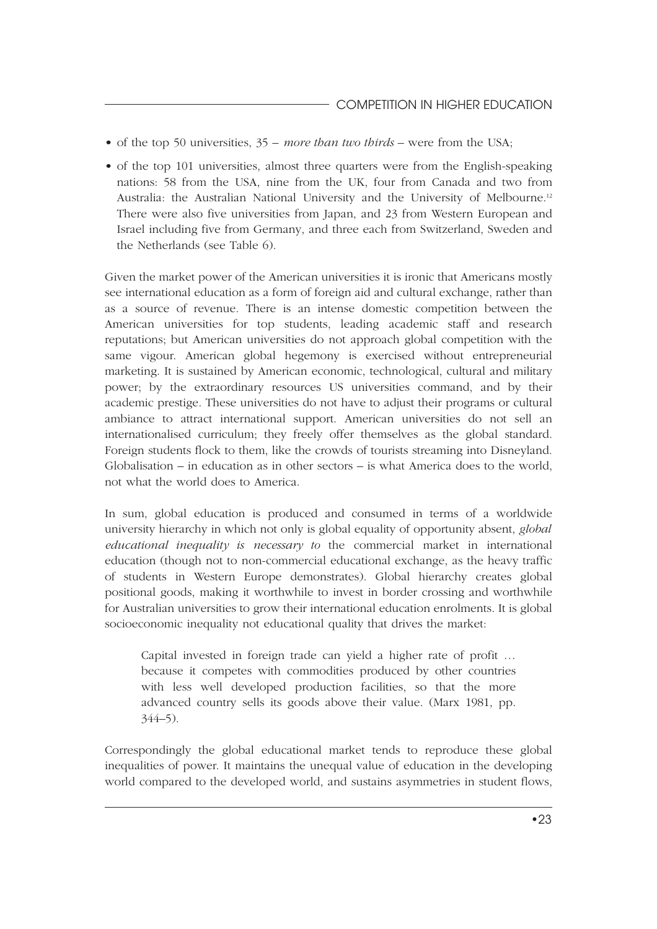- of the top 50 universities, 35 *more than two thirds* were from the USA;
- of the top 101 universities, almost three quarters were from the English-speaking nations: 58 from the USA, nine from the UK, four from Canada and two from Australia: the Australian National University and the University of Melbourne.<sup>12</sup> There were also five universities from Japan, and 23 from Western European and Israel including five from Germany, and three each from Switzerland, Sweden and the Netherlands (see Table 6).

Given the market power of the American universities it is ironic that Americans mostly see international education as a form of foreign aid and cultural exchange, rather than as a source of revenue. There is an intense domestic competition between the American universities for top students, leading academic staff and research reputations; but American universities do not approach global competition with the same vigour. American global hegemony is exercised without entrepreneurial marketing. It is sustained by American economic, technological, cultural and military power; by the extraordinary resources US universities command, and by their academic prestige. These universities do not have to adjust their programs or cultural ambiance to attract international support. American universities do not sell an internationalised curriculum; they freely offer themselves as the global standard. Foreign students flock to them, like the crowds of tourists streaming into Disneyland. Globalisation – in education as in other sectors – is what America does to the world, not what the world does to America.

In sum, global education is produced and consumed in terms of a worldwide university hierarchy in which not only is global equality of opportunity absent, *global educational inequality is necessary to* the commercial market in international education (though not to non-commercial educational exchange, as the heavy traffic of students in Western Europe demonstrates). Global hierarchy creates global positional goods, making it worthwhile to invest in border crossing and worthwhile for Australian universities to grow their international education enrolments. It is global socioeconomic inequality not educational quality that drives the market:

Capital invested in foreign trade can yield a higher rate of profit … because it competes with commodities produced by other countries with less well developed production facilities, so that the more advanced country sells its goods above their value. (Marx 1981, pp. 344–5).

Correspondingly the global educational market tends to reproduce these global inequalities of power. It maintains the unequal value of education in the developing world compared to the developed world, and sustains asymmetries in student flows,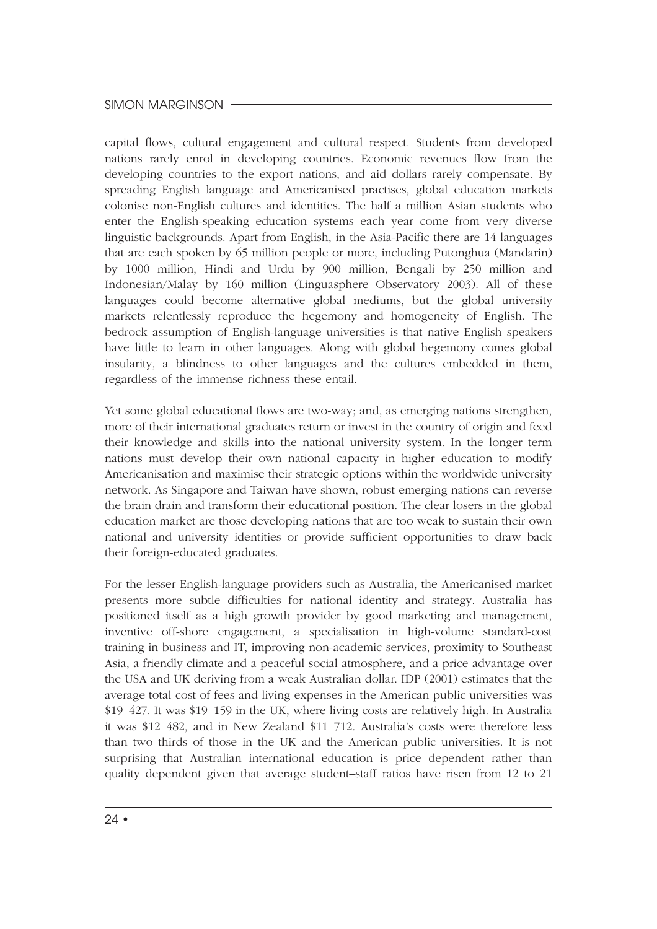capital flows, cultural engagement and cultural respect. Students from developed nations rarely enrol in developing countries. Economic revenues flow from the developing countries to the export nations, and aid dollars rarely compensate. By spreading English language and Americanised practises, global education markets colonise non-English cultures and identities. The half a million Asian students who enter the English-speaking education systems each year come from very diverse linguistic backgrounds. Apart from English, in the Asia-Pacific there are 14 languages that are each spoken by 65 million people or more, including Putonghua (Mandarin) by 1000 million, Hindi and Urdu by 900 million, Bengali by 250 million and Indonesian/Malay by 160 million (Linguasphere Observatory 2003). All of these languages could become alternative global mediums, but the global university markets relentlessly reproduce the hegemony and homogeneity of English. The bedrock assumption of English-language universities is that native English speakers have little to learn in other languages. Along with global hegemony comes global insularity, a blindness to other languages and the cultures embedded in them, regardless of the immense richness these entail.

Yet some global educational flows are two-way; and, as emerging nations strengthen, more of their international graduates return or invest in the country of origin and feed their knowledge and skills into the national university system. In the longer term nations must develop their own national capacity in higher education to modify Americanisation and maximise their strategic options within the worldwide university network. As Singapore and Taiwan have shown, robust emerging nations can reverse the brain drain and transform their educational position. The clear losers in the global education market are those developing nations that are too weak to sustain their own national and university identities or provide sufficient opportunities to draw back their foreign-educated graduates.

For the lesser English-language providers such as Australia, the Americanised market presents more subtle difficulties for national identity and strategy. Australia has positioned itself as a high growth provider by good marketing and management, inventive off-shore engagement, a specialisation in high-volume standard-cost training in business and IT, improving non-academic services, proximity to Southeast Asia, a friendly climate and a peaceful social atmosphere, and a price advantage over the USA and UK deriving from a weak Australian dollar. IDP (2001) estimates that the average total cost of fees and living expenses in the American public universities was \$19 427. It was \$19 159 in the UK, where living costs are relatively high. In Australia it was \$12 482, and in New Zealand \$11 712. Australia's costs were therefore less than two thirds of those in the UK and the American public universities. It is not surprising that Australian international education is price dependent rather than quality dependent given that average student–staff ratios have risen from 12 to 21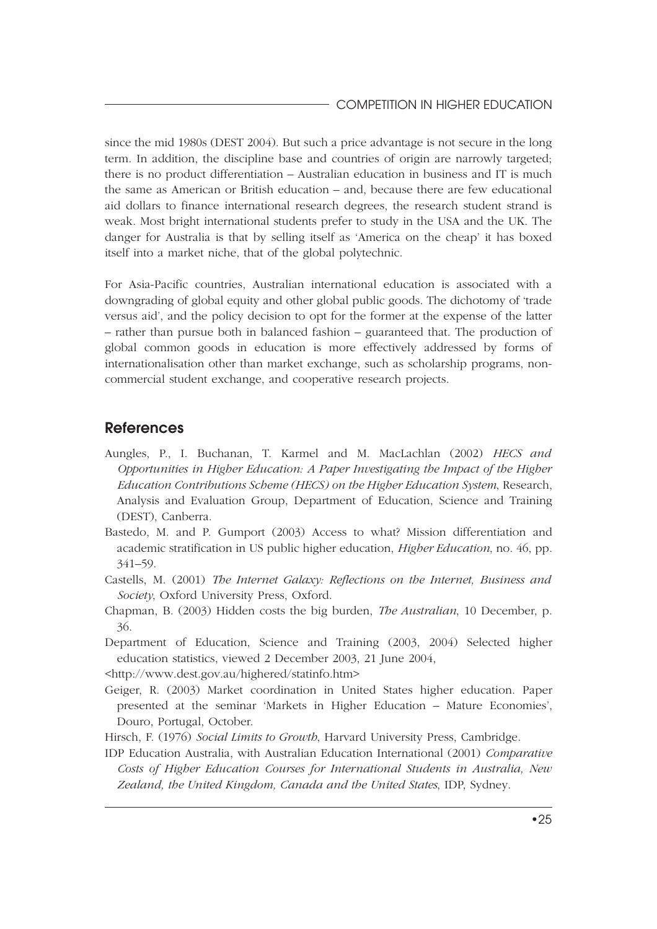since the mid 1980s (DEST 2004). But such a price advantage is not secure in the long term. In addition, the discipline base and countries of origin are narrowly targeted; there is no product differentiation – Australian education in business and IT is much the same as American or British education – and, because there are few educational aid dollars to finance international research degrees, the research student strand is weak. Most bright international students prefer to study in the USA and the UK. The danger for Australia is that by selling itself as 'America on the cheap' it has boxed itself into a market niche, that of the global polytechnic.

For Asia-Pacific countries, Australian international education is associated with a downgrading of global equity and other global public goods. The dichotomy of 'trade versus aid', and the policy decision to opt for the former at the expense of the latter – rather than pursue both in balanced fashion – guaranteed that. The production of global common goods in education is more effectively addressed by forms of internationalisation other than market exchange, such as scholarship programs, noncommercial student exchange, and cooperative research projects.

# **References**

- Aungles, P., I. Buchanan, T. Karmel and M. MacLachlan (2002) *HECS and Opportunities in Higher Education: A Paper Investigating the Impact of the Higher Education Contributions Scheme (HECS) on the Higher Education System*, Research, Analysis and Evaluation Group, Department of Education, Science and Training (DEST), Canberra.
- Bastedo, M. and P. Gumport (2003) Access to what? Mission differentiation and academic stratification in US public higher education, *Higher Education*, no. 46, pp. 341–59.
- Castells, M. (2001) *The Internet Galaxy: Reflections on the Internet, Business and Society*, Oxford University Press, Oxford.
- Chapman, B. (2003) Hidden costs the big burden, *The Australian*, 10 December, p. 36.
- Department of Education, Science and Training (2003, 2004) Selected higher education statistics, viewed 2 December 2003, 21 June 2004,

<http://www.dest.gov.au/highered/statinfo.htm>

- Geiger, R. (2003) Market coordination in United States higher education. Paper presented at the seminar 'Markets in Higher Education – Mature Economies', Douro, Portugal, October.
- Hirsch, F. (1976) *Social Limits to Growth*, Harvard University Press, Cambridge.
- IDP Education Australia, with Australian Education International (2001) *Comparative Costs of Higher Education Courses for International Students in Australia, New Zealand, the United Kingdom, Canada and the United States*, IDP, Sydney.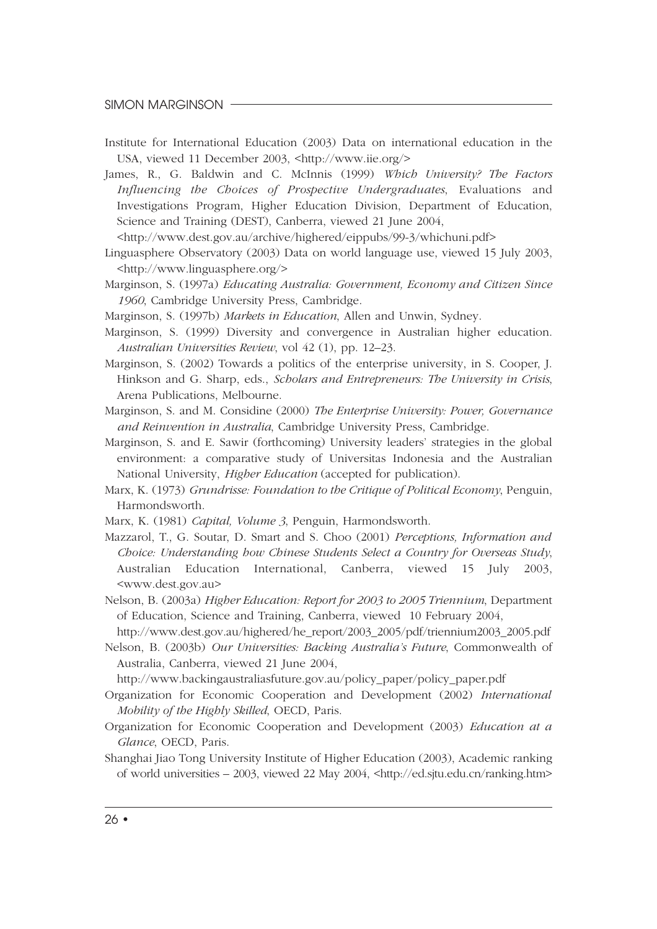- Institute for International Education (2003) Data on international education in the USA, viewed 11 December 2003, <http://www.iie.org/>
- James, R., G. Baldwin and C. McInnis (1999) *Which University? The Factors Influencing the Choices of Prospective Undergraduates*, Evaluations and Investigations Program, Higher Education Division, Department of Education, Science and Training (DEST), Canberra, viewed 21 June 2004,

<http://www.dest.gov.au/archive/highered/eippubs/99-3/whichuni.pdf>

- Linguasphere Observatory (2003) Data on world language use, viewed 15 July 2003, <http://www.linguasphere.org/>
- Marginson, S. (1997a) *Educating Australia: Government, Economy and Citizen Since 1960*, Cambridge University Press, Cambridge.
- Marginson, S. (1997b) *Markets in Education*, Allen and Unwin, Sydney.
- Marginson, S. (1999) Diversity and convergence in Australian higher education. *Australian Universities Review*, vol 42 (1), pp. 12–23.
- Marginson, S. (2002) Towards a politics of the enterprise university, in S. Cooper, J. Hinkson and G. Sharp, eds., *Scholars and Entrepreneurs: The University in Crisis*, Arena Publications, Melbourne.
- Marginson, S. and M. Considine (2000) *The Enterprise University: Power, Governance and Reinvention in Australia*, Cambridge University Press, Cambridge.
- Marginson, S. and E. Sawir (forthcoming) University leaders' strategies in the global environment: a comparative study of Universitas Indonesia and the Australian National University, *Higher Education* (accepted for publication).
- Marx, K. (1973) *Grundrisse: Foundation to the Critique of Political Economy*, Penguin, Harmondsworth.
- Marx, K. (1981) *Capital, Volume 3*, Penguin, Harmondsworth.
- Mazzarol, T., G. Soutar, D. Smart and S. Choo (2001) *Perceptions, Information and Choice: Understanding how Chinese Students Select a Country for Overseas Study*, Australian Education International, Canberra, viewed 15 July 2003, <www.dest.gov.au>
- Nelson, B. (2003a) *Higher Education: Report for 2003 to 2005 Triennium*, Department of Education, Science and Training, Canberra, viewed 10 February 2004,
- http://www.dest.gov.au/highered/he\_report/2003\_2005/pdf/triennium2003\_2005.pdf Nelson, B. (2003b) *Our Universities: Backing Australia's Future*, Commonwealth of Australia, Canberra, viewed 21 June 2004,

http://www.backingaustraliasfuture.gov.au/policy\_paper/policy\_paper.pdf

- Organization for Economic Cooperation and Development (2002) *International Mobility of the Highly Skilled*, OECD, Paris.
- Organization for Economic Cooperation and Development (2003) *Education at a Glance*, OECD, Paris.
- Shanghai Jiao Tong University Institute of Higher Education (2003), Academic ranking of world universities – 2003, viewed 22 May 2004, <http://ed.sjtu.edu.cn/ranking.htm>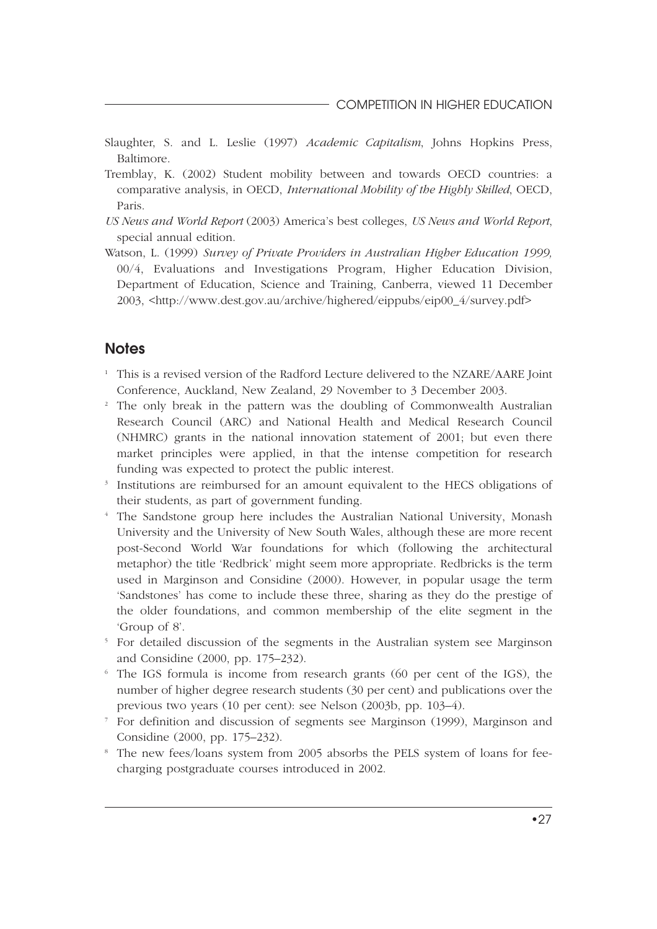Slaughter, S. and L. Leslie (1997) *Academic Capitalism*, Johns Hopkins Press, Baltimore.

- Tremblay, K. (2002) Student mobility between and towards OECD countries: a comparative analysis, in OECD, *International Mobility of the Highly Skilled*, OECD, Paris.
- *US News and World Report* (2003) America's best colleges, *US News and World Report*, special annual edition.
- Watson, L. (1999) *Survey of Private Providers in Australian Higher Education 1999,* 00/4, Evaluations and Investigations Program, Higher Education Division, Department of Education, Science and Training, Canberra, viewed 11 December 2003, <http://www.dest.gov.au/archive/highered/eippubs/eip00\_4/survey.pdf>

# **Notes**

- <sup>1</sup> This is a revised version of the Radford Lecture delivered to the NZARE/AARE Joint Conference, Auckland, New Zealand, 29 November to 3 December 2003.
- <sup>2</sup> The only break in the pattern was the doubling of Commonwealth Australian Research Council (ARC) and National Health and Medical Research Council (NHMRC) grants in the national innovation statement of 2001; but even there market principles were applied, in that the intense competition for research funding was expected to protect the public interest.
- <sup>3</sup> Institutions are reimbursed for an amount equivalent to the HECS obligations of their students, as part of government funding.
- <sup>4</sup> The Sandstone group here includes the Australian National University, Monash University and the University of New South Wales, although these are more recent post-Second World War foundations for which (following the architectural metaphor) the title 'Redbrick' might seem more appropriate. Redbricks is the term used in Marginson and Considine (2000). However, in popular usage the term 'Sandstones' has come to include these three, sharing as they do the prestige of the older foundations, and common membership of the elite segment in the 'Group of 8'. 5 For detailed discussion of the segments in the Australian system see Marginson
- and Considine (2000, pp. 175–232).
- <sup>6</sup> The IGS formula is income from research grants (60 per cent of the IGS), the number of higher degree research students (30 per cent) and publications over the previous two years (10 per cent): see Nelson (2003b, pp. 103–4).
- <sup>7</sup> For definition and discussion of segments see Marginson (1999), Marginson and Considine (2000, pp. 175–232).
- <sup>8</sup> The new fees/loans system from 2005 absorbs the PELS system of loans for feecharging postgraduate courses introduced in 2002.